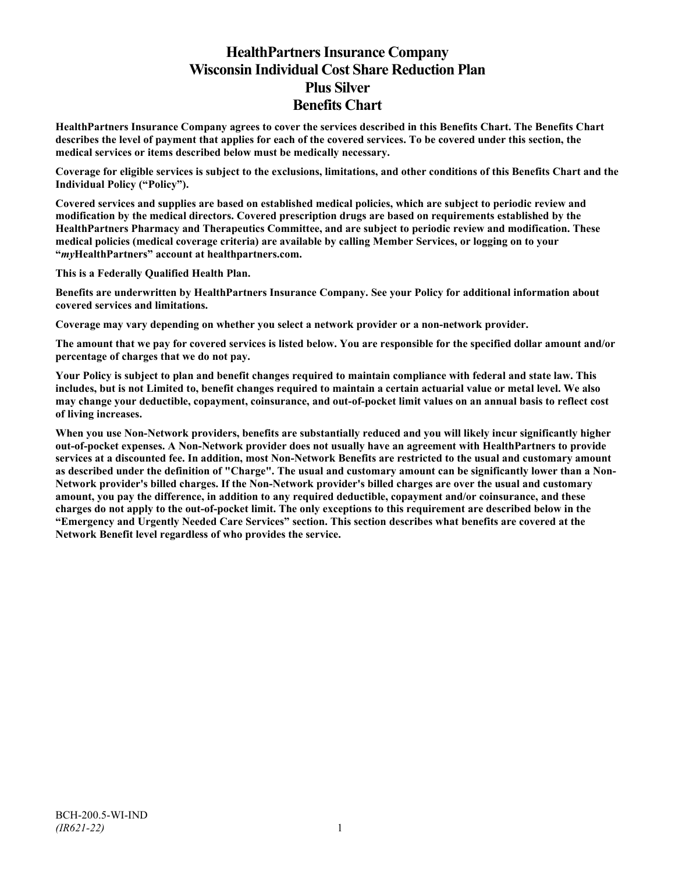# **HealthPartners Insurance Company Wisconsin Individual Cost Share Reduction Plan Plus Silver Benefits Chart**

**HealthPartners Insurance Company agrees to cover the services described in this Benefits Chart. The Benefits Chart describes the level of payment that applies for each of the covered services. To be covered under this section, the medical services or items described below must be medically necessary.**

**Coverage for eligible services is subject to the exclusions, limitations, and other conditions of this Benefits Chart and the Individual Policy ("Policy").**

**Covered services and supplies are based on established medical policies, which are subject to periodic review and modification by the medical directors. Covered prescription drugs are based on requirements established by the HealthPartners Pharmacy and Therapeutics Committee, and are subject to periodic review and modification. These medical policies (medical coverage criteria) are available by calling Member Services, or logging on to your "***my***HealthPartners" account at [healthpartners.com.](http://www.healthpartners.com/)**

**This is a Federally Qualified Health Plan.**

**Benefits are underwritten by HealthPartners Insurance Company. See your Policy for additional information about covered services and limitations.**

**Coverage may vary depending on whether you select a network provider or a non-network provider.**

**The amount that we pay for covered services is listed below. You are responsible for the specified dollar amount and/or percentage of charges that we do not pay.**

**Your Policy is subject to plan and benefit changes required to maintain compliance with federal and state law. This includes, but is not Limited to, benefit changes required to maintain a certain actuarial value or metal level. We also may change your deductible, copayment, coinsurance, and out-of-pocket limit values on an annual basis to reflect cost of living increases.**

**When you use Non-Network providers, benefits are substantially reduced and you will likely incur significantly higher out-of-pocket expenses. A Non-Network provider does not usually have an agreement with HealthPartners to provide services at a discounted fee. In addition, most Non-Network Benefits are restricted to the usual and customary amount as described under the definition of "Charge". The usual and customary amount can be significantly lower than a Non-Network provider's billed charges. If the Non-Network provider's billed charges are over the usual and customary amount, you pay the difference, in addition to any required deductible, copayment and/or coinsurance, and these charges do not apply to the out-of-pocket limit. The only exceptions to this requirement are described below in the "Emergency and Urgently Needed Care Services" section. This section describes what benefits are covered at the Network Benefit level regardless of who provides the service.**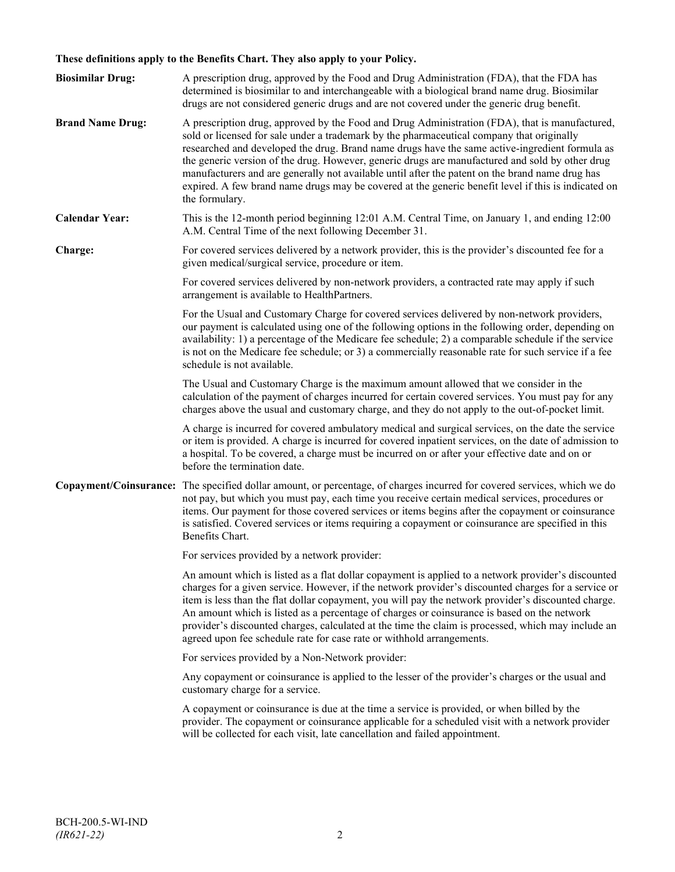## **These definitions apply to the Benefits Chart. They also apply to your Policy.**

| <b>Biosimilar Drug:</b> | A prescription drug, approved by the Food and Drug Administration (FDA), that the FDA has<br>determined is biosimilar to and interchangeable with a biological brand name drug. Biosimilar<br>drugs are not considered generic drugs and are not covered under the generic drug benefit.                                                                                                                                                                                                                                                                                                                                     |
|-------------------------|------------------------------------------------------------------------------------------------------------------------------------------------------------------------------------------------------------------------------------------------------------------------------------------------------------------------------------------------------------------------------------------------------------------------------------------------------------------------------------------------------------------------------------------------------------------------------------------------------------------------------|
| <b>Brand Name Drug:</b> | A prescription drug, approved by the Food and Drug Administration (FDA), that is manufactured,<br>sold or licensed for sale under a trademark by the pharmaceutical company that originally<br>researched and developed the drug. Brand name drugs have the same active-ingredient formula as<br>the generic version of the drug. However, generic drugs are manufactured and sold by other drug<br>manufacturers and are generally not available until after the patent on the brand name drug has<br>expired. A few brand name drugs may be covered at the generic benefit level if this is indicated on<br>the formulary. |
| <b>Calendar Year:</b>   | This is the 12-month period beginning 12:01 A.M. Central Time, on January 1, and ending 12:00<br>A.M. Central Time of the next following December 31.                                                                                                                                                                                                                                                                                                                                                                                                                                                                        |
| Charge:                 | For covered services delivered by a network provider, this is the provider's discounted fee for a<br>given medical/surgical service, procedure or item.                                                                                                                                                                                                                                                                                                                                                                                                                                                                      |
|                         | For covered services delivered by non-network providers, a contracted rate may apply if such<br>arrangement is available to HealthPartners.                                                                                                                                                                                                                                                                                                                                                                                                                                                                                  |
|                         | For the Usual and Customary Charge for covered services delivered by non-network providers,<br>our payment is calculated using one of the following options in the following order, depending on<br>availability: 1) a percentage of the Medicare fee schedule; 2) a comparable schedule if the service<br>is not on the Medicare fee schedule; or 3) a commercially reasonable rate for such service if a fee<br>schedule is not available.                                                                                                                                                                                 |
|                         | The Usual and Customary Charge is the maximum amount allowed that we consider in the<br>calculation of the payment of charges incurred for certain covered services. You must pay for any<br>charges above the usual and customary charge, and they do not apply to the out-of-pocket limit.                                                                                                                                                                                                                                                                                                                                 |
|                         | A charge is incurred for covered ambulatory medical and surgical services, on the date the service<br>or item is provided. A charge is incurred for covered inpatient services, on the date of admission to<br>a hospital. To be covered, a charge must be incurred on or after your effective date and on or<br>before the termination date.                                                                                                                                                                                                                                                                                |
|                         | Copayment/Coinsurance: The specified dollar amount, or percentage, of charges incurred for covered services, which we do<br>not pay, but which you must pay, each time you receive certain medical services, procedures or<br>items. Our payment for those covered services or items begins after the copayment or coinsurance<br>is satisfied. Covered services or items requiring a copayment or coinsurance are specified in this<br>Benefits Chart.                                                                                                                                                                      |
|                         | For services provided by a network provider:                                                                                                                                                                                                                                                                                                                                                                                                                                                                                                                                                                                 |
|                         | An amount which is listed as a flat dollar copayment is applied to a network provider's discounted<br>charges for a given service. However, if the network provider's discounted charges for a service or<br>item is less than the flat dollar copayment, you will pay the network provider's discounted charge.<br>An amount which is listed as a percentage of charges or coinsurance is based on the network<br>provider's discounted charges, calculated at the time the claim is processed, which may include an<br>agreed upon fee schedule rate for case rate or withhold arrangements.                               |
|                         | For services provided by a Non-Network provider:                                                                                                                                                                                                                                                                                                                                                                                                                                                                                                                                                                             |
|                         | Any copayment or coinsurance is applied to the lesser of the provider's charges or the usual and<br>customary charge for a service.                                                                                                                                                                                                                                                                                                                                                                                                                                                                                          |
|                         | A copayment or coinsurance is due at the time a service is provided, or when billed by the<br>provider. The copayment or coinsurance applicable for a scheduled visit with a network provider<br>will be collected for each visit, late cancellation and failed appointment.                                                                                                                                                                                                                                                                                                                                                 |
|                         |                                                                                                                                                                                                                                                                                                                                                                                                                                                                                                                                                                                                                              |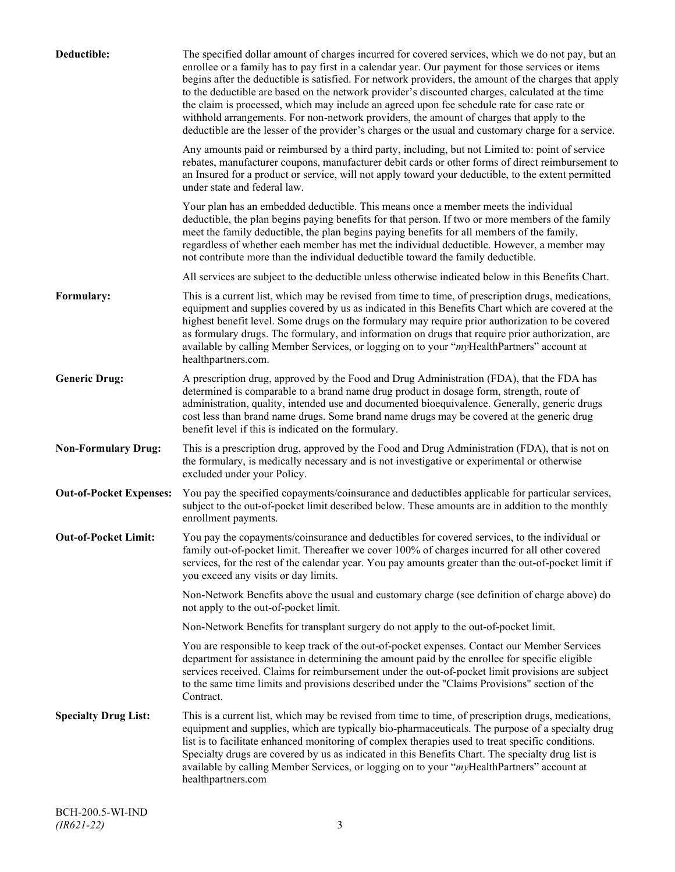| Deductible:                    | The specified dollar amount of charges incurred for covered services, which we do not pay, but an<br>enrollee or a family has to pay first in a calendar year. Our payment for those services or items<br>begins after the deductible is satisfied. For network providers, the amount of the charges that apply<br>to the deductible are based on the network provider's discounted charges, calculated at the time<br>the claim is processed, which may include an agreed upon fee schedule rate for case rate or<br>withhold arrangements. For non-network providers, the amount of charges that apply to the<br>deductible are the lesser of the provider's charges or the usual and customary charge for a service. |
|--------------------------------|-------------------------------------------------------------------------------------------------------------------------------------------------------------------------------------------------------------------------------------------------------------------------------------------------------------------------------------------------------------------------------------------------------------------------------------------------------------------------------------------------------------------------------------------------------------------------------------------------------------------------------------------------------------------------------------------------------------------------|
|                                | Any amounts paid or reimbursed by a third party, including, but not Limited to: point of service<br>rebates, manufacturer coupons, manufacturer debit cards or other forms of direct reimbursement to<br>an Insured for a product or service, will not apply toward your deductible, to the extent permitted<br>under state and federal law.                                                                                                                                                                                                                                                                                                                                                                            |
|                                | Your plan has an embedded deductible. This means once a member meets the individual<br>deductible, the plan begins paying benefits for that person. If two or more members of the family<br>meet the family deductible, the plan begins paying benefits for all members of the family,<br>regardless of whether each member has met the individual deductible. However, a member may<br>not contribute more than the individual deductible toward the family deductible.                                                                                                                                                                                                                                                |
|                                | All services are subject to the deductible unless otherwise indicated below in this Benefits Chart.                                                                                                                                                                                                                                                                                                                                                                                                                                                                                                                                                                                                                     |
| Formulary:                     | This is a current list, which may be revised from time to time, of prescription drugs, medications,<br>equipment and supplies covered by us as indicated in this Benefits Chart which are covered at the<br>highest benefit level. Some drugs on the formulary may require prior authorization to be covered<br>as formulary drugs. The formulary, and information on drugs that require prior authorization, are<br>available by calling Member Services, or logging on to your "myHealthPartners" account at<br>healthpartners.com.                                                                                                                                                                                   |
| <b>Generic Drug:</b>           | A prescription drug, approved by the Food and Drug Administration (FDA), that the FDA has<br>determined is comparable to a brand name drug product in dosage form, strength, route of<br>administration, quality, intended use and documented bioequivalence. Generally, generic drugs<br>cost less than brand name drugs. Some brand name drugs may be covered at the generic drug<br>benefit level if this is indicated on the formulary.                                                                                                                                                                                                                                                                             |
| <b>Non-Formulary Drug:</b>     | This is a prescription drug, approved by the Food and Drug Administration (FDA), that is not on<br>the formulary, is medically necessary and is not investigative or experimental or otherwise<br>excluded under your Policy.                                                                                                                                                                                                                                                                                                                                                                                                                                                                                           |
| <b>Out-of-Pocket Expenses:</b> | You pay the specified copayments/coinsurance and deductibles applicable for particular services,<br>subject to the out-of-pocket limit described below. These amounts are in addition to the monthly<br>enrollment payments.                                                                                                                                                                                                                                                                                                                                                                                                                                                                                            |
| <b>Out-of-Pocket Limit:</b>    | You pay the copayments/coinsurance and deductibles for covered services, to the individual or<br>family out-of-pocket limit. Thereafter we cover 100% of charges incurred for all other covered<br>services, for the rest of the calendar year. You pay amounts greater than the out-of-pocket limit if<br>you exceed any visits or day limits.                                                                                                                                                                                                                                                                                                                                                                         |
|                                | Non-Network Benefits above the usual and customary charge (see definition of charge above) do<br>not apply to the out-of-pocket limit.                                                                                                                                                                                                                                                                                                                                                                                                                                                                                                                                                                                  |
|                                | Non-Network Benefits for transplant surgery do not apply to the out-of-pocket limit.                                                                                                                                                                                                                                                                                                                                                                                                                                                                                                                                                                                                                                    |
|                                | You are responsible to keep track of the out-of-pocket expenses. Contact our Member Services<br>department for assistance in determining the amount paid by the enrollee for specific eligible<br>services received. Claims for reimbursement under the out-of-pocket limit provisions are subject<br>to the same time limits and provisions described under the "Claims Provisions" section of the<br>Contract.                                                                                                                                                                                                                                                                                                        |
| <b>Specialty Drug List:</b>    | This is a current list, which may be revised from time to time, of prescription drugs, medications,<br>equipment and supplies, which are typically bio-pharmaceuticals. The purpose of a specialty drug<br>list is to facilitate enhanced monitoring of complex therapies used to treat specific conditions.<br>Specialty drugs are covered by us as indicated in this Benefits Chart. The specialty drug list is<br>available by calling Member Services, or logging on to your "myHealthPartners" account at<br>healthpartners.com                                                                                                                                                                                    |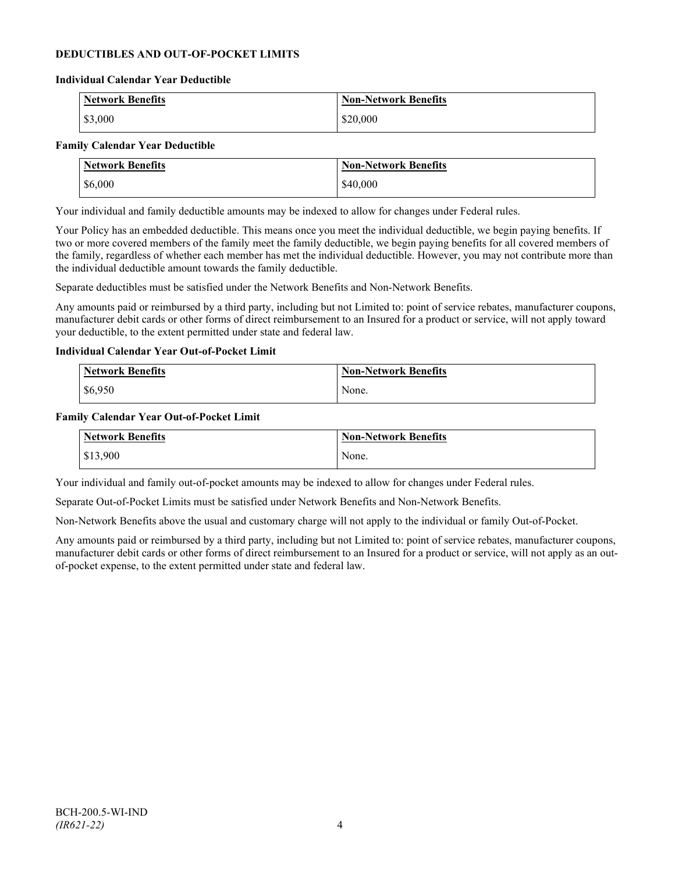## **DEDUCTIBLES AND OUT-OF-POCKET LIMITS**

#### **Individual Calendar Year Deductible**

| <b>Network Benefits</b> | <b>Non-Network Benefits</b> |
|-------------------------|-----------------------------|
| \$3,000                 | \$20,000                    |

#### **Family Calendar Year Deductible**

| <b>Network Benefits</b> | <b>Non-Network Benefits</b> |
|-------------------------|-----------------------------|
| \$6,000                 | \$40,000                    |

Your individual and family deductible amounts may be indexed to allow for changes under Federal rules.

Your Policy has an embedded deductible. This means once you meet the individual deductible, we begin paying benefits. If two or more covered members of the family meet the family deductible, we begin paying benefits for all covered members of the family, regardless of whether each member has met the individual deductible. However, you may not contribute more than the individual deductible amount towards the family deductible.

Separate deductibles must be satisfied under the Network Benefits and Non-Network Benefits.

Any amounts paid or reimbursed by a third party, including but not Limited to: point of service rebates, manufacturer coupons, manufacturer debit cards or other forms of direct reimbursement to an Insured for a product or service, will not apply toward your deductible, to the extent permitted under state and federal law.

#### **Individual Calendar Year Out-of-Pocket Limit**

| <b>Network Benefits</b> | <b>Non-Network Benefits</b> |
|-------------------------|-----------------------------|
| \$6,950                 | None.                       |

#### **Family Calendar Year Out-of-Pocket Limit**

| Network Benefits       | <b>Non-Network Benefits</b> |
|------------------------|-----------------------------|
| $\frac{1}{2}$ \$13,900 | None.                       |

Your individual and family out-of-pocket amounts may be indexed to allow for changes under Federal rules.

Separate Out-of-Pocket Limits must be satisfied under Network Benefits and Non-Network Benefits.

Non-Network Benefits above the usual and customary charge will not apply to the individual or family Out-of-Pocket.

Any amounts paid or reimbursed by a third party, including but not Limited to: point of service rebates, manufacturer coupons, manufacturer debit cards or other forms of direct reimbursement to an Insured for a product or service, will not apply as an outof-pocket expense, to the extent permitted under state and federal law.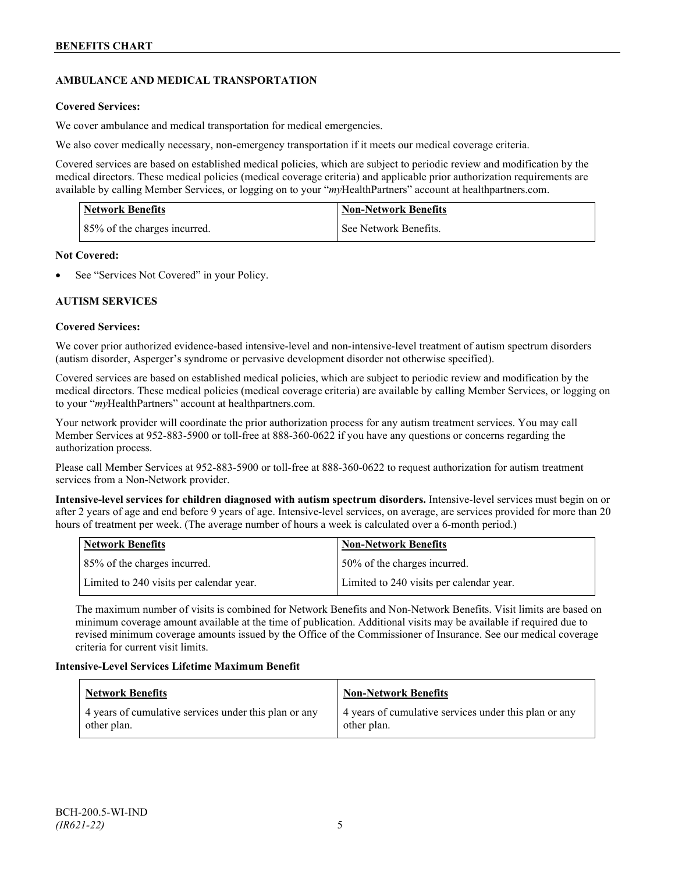## **AMBULANCE AND MEDICAL TRANSPORTATION**

## **Covered Services:**

We cover ambulance and medical transportation for medical emergencies.

We also cover medically necessary, non-emergency transportation if it meets our medical coverage criteria.

Covered services are based on established medical policies, which are subject to periodic review and modification by the medical directors. These medical policies (medical coverage criteria) and applicable prior authorization requirements are available by calling Member Services, or logging on to your "*my*HealthPartners" account a[t healthpartners.com.](http://www.healthpartners.com/)

| <b>Network Benefits</b>      | <b>Non-Network Benefits</b> |
|------------------------------|-----------------------------|
| 85% of the charges incurred. | See Network Benefits.       |

## **Not Covered:**

See "Services Not Covered" in your Policy.

## **AUTISM SERVICES**

## **Covered Services:**

We cover prior authorized evidence-based intensive-level and non-intensive-level treatment of autism spectrum disorders (autism disorder, Asperger's syndrome or pervasive development disorder not otherwise specified).

Covered services are based on established medical policies, which are subject to periodic review and modification by the medical directors. These medical policies (medical coverage criteria) are available by calling Member Services, or logging on to your "*my*HealthPartners" account at [healthpartners.com.](http://www.healthpartners.com/)

Your network provider will coordinate the prior authorization process for any autism treatment services. You may call Member Services at 952-883-5900 or toll-free at 888-360-0622 if you have any questions or concerns regarding the authorization process.

Please call Member Services at 952-883-5900 or toll-free at 888-360-0622 to request authorization for autism treatment services from a Non-Network provider.

**Intensive-level services for children diagnosed with autism spectrum disorders.** Intensive-level services must begin on or after 2 years of age and end before 9 years of age. Intensive-level services, on average, are services provided for more than 20 hours of treatment per week. (The average number of hours a week is calculated over a 6-month period.)

| Network Benefits                         | <b>Non-Network Benefits</b>              |
|------------------------------------------|------------------------------------------|
| 85% of the charges incurred.             | 50% of the charges incurred.             |
| Limited to 240 visits per calendar year. | Limited to 240 visits per calendar year. |

The maximum number of visits is combined for Network Benefits and Non-Network Benefits. Visit limits are based on minimum coverage amount available at the time of publication. Additional visits may be available if required due to revised minimum coverage amounts issued by the Office of the Commissioner of Insurance. See our medical coverage criteria for current visit limits.

## **Intensive-Level Services Lifetime Maximum Benefit**

| Network Benefits                                                     | <b>Non-Network Benefits</b>                                          |
|----------------------------------------------------------------------|----------------------------------------------------------------------|
| 4 years of cumulative services under this plan or any<br>other plan. | 4 years of cumulative services under this plan or any<br>other plan. |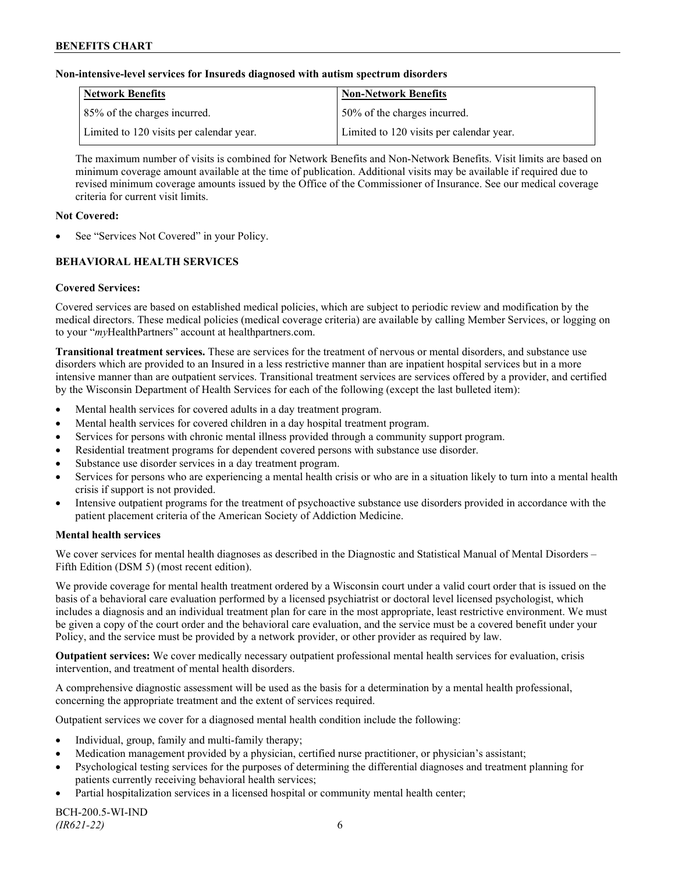#### **Non-intensive-level services for Insureds diagnosed with autism spectrum disorders**

| Network Benefits                         | <b>Non-Network Benefits</b>              |
|------------------------------------------|------------------------------------------|
| 85% of the charges incurred.             | 50% of the charges incurred.             |
| Limited to 120 visits per calendar year. | Limited to 120 visits per calendar year. |

The maximum number of visits is combined for Network Benefits and Non-Network Benefits. Visit limits are based on minimum coverage amount available at the time of publication. Additional visits may be available if required due to revised minimum coverage amounts issued by the Office of the Commissioner of Insurance. See our medical coverage criteria for current visit limits.

#### **Not Covered:**

See "Services Not Covered" in your Policy.

## **BEHAVIORAL HEALTH SERVICES**

#### **Covered Services:**

Covered services are based on established medical policies, which are subject to periodic review and modification by the medical directors. These medical policies (medical coverage criteria) are available by calling Member Services, or logging on to your "*my*HealthPartners" account at [healthpartners.com.](http://www.healthpartners.com/)

**Transitional treatment services.** These are services for the treatment of nervous or mental disorders, and substance use disorders which are provided to an Insured in a less restrictive manner than are inpatient hospital services but in a more intensive manner than are outpatient services. Transitional treatment services are services offered by a provider, and certified by the Wisconsin Department of Health Services for each of the following (except the last bulleted item):

- Mental health services for covered adults in a day treatment program.
- Mental health services for covered children in a day hospital treatment program.
- Services for persons with chronic mental illness provided through a community support program.
- Residential treatment programs for dependent covered persons with substance use disorder.
- Substance use disorder services in a day treatment program.
- Services for persons who are experiencing a mental health crisis or who are in a situation likely to turn into a mental health crisis if support is not provided.
- Intensive outpatient programs for the treatment of psychoactive substance use disorders provided in accordance with the patient placement criteria of the American Society of Addiction Medicine.

#### **Mental health services**

We cover services for mental health diagnoses as described in the Diagnostic and Statistical Manual of Mental Disorders – Fifth Edition (DSM 5) (most recent edition).

We provide coverage for mental health treatment ordered by a Wisconsin court under a valid court order that is issued on the basis of a behavioral care evaluation performed by a licensed psychiatrist or doctoral level licensed psychologist, which includes a diagnosis and an individual treatment plan for care in the most appropriate, least restrictive environment. We must be given a copy of the court order and the behavioral care evaluation, and the service must be a covered benefit under your Policy, and the service must be provided by a network provider, or other provider as required by law.

**Outpatient services:** We cover medically necessary outpatient professional mental health services for evaluation, crisis intervention, and treatment of mental health disorders.

A comprehensive diagnostic assessment will be used as the basis for a determination by a mental health professional, concerning the appropriate treatment and the extent of services required.

Outpatient services we cover for a diagnosed mental health condition include the following:

- Individual, group, family and multi-family therapy;
- Medication management provided by a physician, certified nurse practitioner, or physician's assistant;
- Psychological testing services for the purposes of determining the differential diagnoses and treatment planning for patients currently receiving behavioral health services;
- Partial hospitalization services in a licensed hospital or community mental health center;

BCH-200.5-WI-IND *(IR621-22)* 6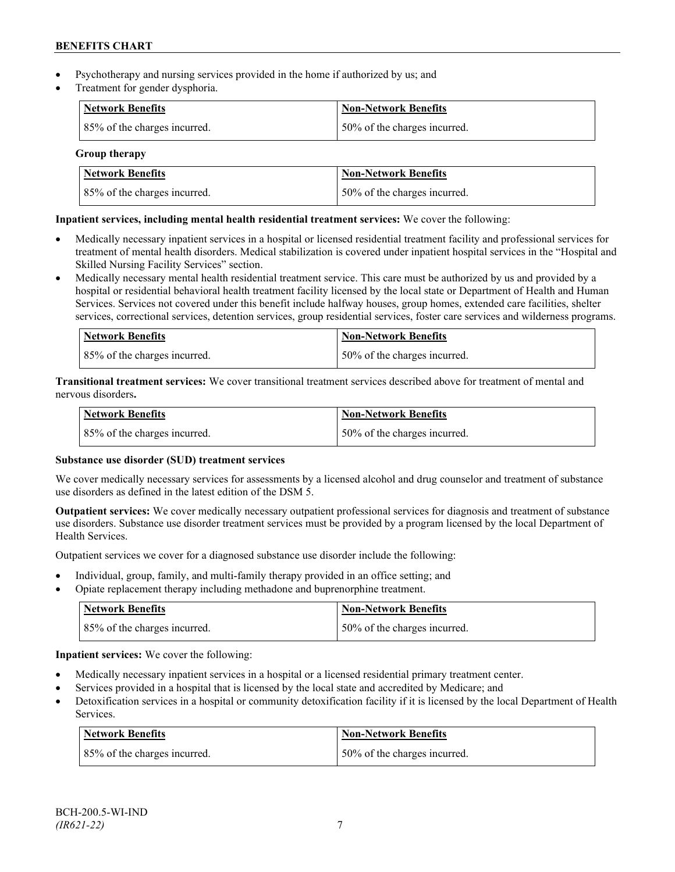- Psychotherapy and nursing services provided in the home if authorized by us; and
- Treatment for gender dysphoria.

| <b>Network Benefits</b>      | <b>Non-Network Benefits</b>  |
|------------------------------|------------------------------|
| 85% of the charges incurred. | 50% of the charges incurred. |

**Group therapy**

| Network Benefits             | Non-Network Benefits          |
|------------------------------|-------------------------------|
| 85% of the charges incurred. | 150% of the charges incurred. |

## **Inpatient services, including mental health residential treatment services:** We cover the following:

- Medically necessary inpatient services in a hospital or licensed residential treatment facility and professional services for treatment of mental health disorders. Medical stabilization is covered under inpatient hospital services in the "Hospital and Skilled Nursing Facility Services" section.
- Medically necessary mental health residential treatment service. This care must be authorized by us and provided by a hospital or residential behavioral health treatment facility licensed by the local state or Department of Health and Human Services. Services not covered under this benefit include halfway houses, group homes, extended care facilities, shelter services, correctional services, detention services, group residential services, foster care services and wilderness programs.

| Network Benefits             | Non-Network Benefits         |
|------------------------------|------------------------------|
| 85% of the charges incurred. | 50% of the charges incurred. |

**Transitional treatment services:** We cover transitional treatment services described above for treatment of mental and nervous disorders**.**

| <b>Network Benefits</b>      | <b>Non-Network Benefits</b>  |
|------------------------------|------------------------------|
| 85% of the charges incurred. | 50% of the charges incurred. |

## **Substance use disorder (SUD) treatment services**

We cover medically necessary services for assessments by a licensed alcohol and drug counselor and treatment of substance use disorders as defined in the latest edition of the DSM 5.

**Outpatient services:** We cover medically necessary outpatient professional services for diagnosis and treatment of substance use disorders. Substance use disorder treatment services must be provided by a program licensed by the local Department of Health Services.

Outpatient services we cover for a diagnosed substance use disorder include the following:

- Individual, group, family, and multi-family therapy provided in an office setting; and
- Opiate replacement therapy including methadone and buprenorphine treatment.

| <b>Network Benefits</b>      | <b>Non-Network Benefits</b>  |
|------------------------------|------------------------------|
| 85% of the charges incurred. | 50% of the charges incurred. |

**Inpatient services:** We cover the following:

- Medically necessary inpatient services in a hospital or a licensed residential primary treatment center.
- Services provided in a hospital that is licensed by the local state and accredited by Medicare; and
- Detoxification services in a hospital or community detoxification facility if it is licensed by the local Department of Health Services.

| <b>Network Benefits</b>      | <b>Non-Network Benefits</b>  |
|------------------------------|------------------------------|
| 85% of the charges incurred. | 50% of the charges incurred. |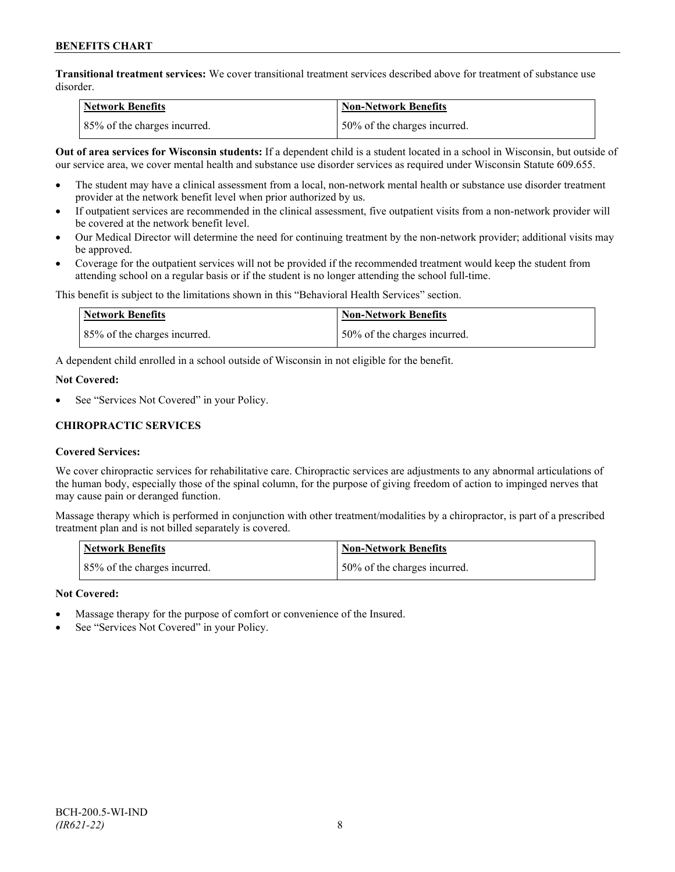**Transitional treatment services:** We cover transitional treatment services described above for treatment of substance use disorder.

| Network Benefits             | <b>Non-Network Benefits</b>  |
|------------------------------|------------------------------|
| 85% of the charges incurred. | 50% of the charges incurred. |

**Out of area services for Wisconsin students:** If a dependent child is a student located in a school in Wisconsin, but outside of our service area, we cover mental health and substance use disorder services as required under Wisconsin Statute 609.655.

- The student may have a clinical assessment from a local, non-network mental health or substance use disorder treatment provider at the network benefit level when prior authorized by us.
- If outpatient services are recommended in the clinical assessment, five outpatient visits from a non-network provider will be covered at the network benefit level.
- Our Medical Director will determine the need for continuing treatment by the non-network provider; additional visits may be approved.
- Coverage for the outpatient services will not be provided if the recommended treatment would keep the student from attending school on a regular basis or if the student is no longer attending the school full-time.

This benefit is subject to the limitations shown in this "Behavioral Health Services" section.

| <b>Network Benefits</b>      | <b>Non-Network Benefits</b>  |
|------------------------------|------------------------------|
| 85% of the charges incurred. | 50% of the charges incurred. |

A dependent child enrolled in a school outside of Wisconsin in not eligible for the benefit.

#### **Not Covered:**

See "Services Not Covered" in your Policy.

## **CHIROPRACTIC SERVICES**

## **Covered Services:**

We cover chiropractic services for rehabilitative care. Chiropractic services are adjustments to any abnormal articulations of the human body, especially those of the spinal column, for the purpose of giving freedom of action to impinged nerves that may cause pain or deranged function.

Massage therapy which is performed in conjunction with other treatment/modalities by a chiropractor, is part of a prescribed treatment plan and is not billed separately is covered.

| <b>Network Benefits</b>      | Non-Network Benefits         |
|------------------------------|------------------------------|
| 85% of the charges incurred. | 50% of the charges incurred. |

## **Not Covered:**

- Massage therapy for the purpose of comfort or convenience of the Insured.
- See "Services Not Covered" in your Policy.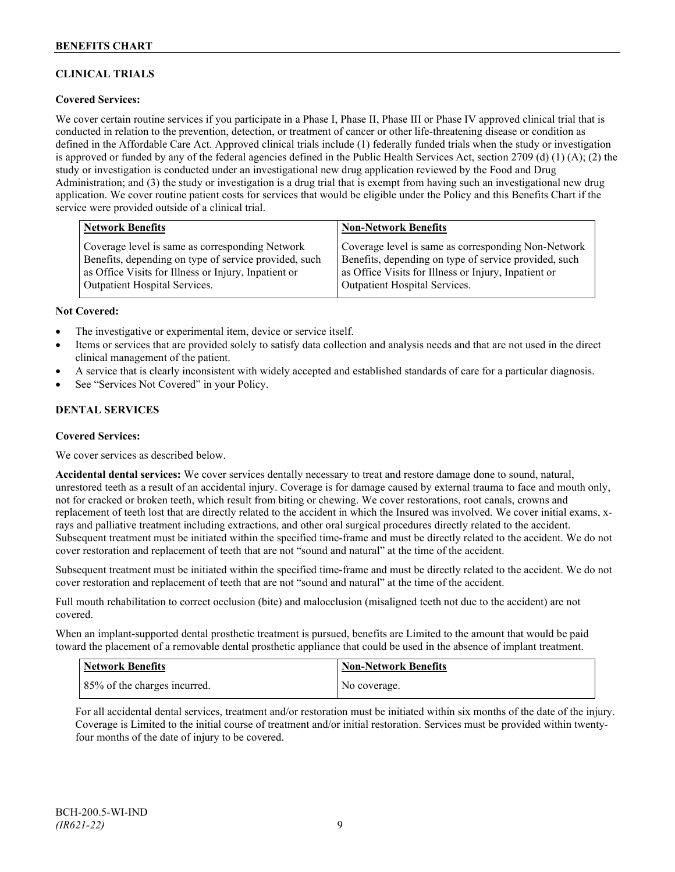## **CLINICAL TRIALS**

## **Covered Services:**

We cover certain routine services if you participate in a Phase I, Phase II, Phase III or Phase IV approved clinical trial that is conducted in relation to the prevention, detection, or treatment of cancer or other life-threatening disease or condition as defined in the Affordable Care Act. Approved clinical trials include (1) federally funded trials when the study or investigation is approved or funded by any of the federal agencies defined in the Public Health Services Act, section 2709 (d) (1) (A); (2) the study or investigation is conducted under an investigational new drug application reviewed by the Food and Drug Administration; and (3) the study or investigation is a drug trial that is exempt from having such an investigational new drug application. We cover routine patient costs for services that would be eligible under the Policy and this Benefits Chart if the service were provided outside of a clinical trial.

| <b>Network Benefits</b>                               | <b>Non-Network Benefits</b>                           |
|-------------------------------------------------------|-------------------------------------------------------|
| Coverage level is same as corresponding Network       | Coverage level is same as corresponding Non-Network   |
| Benefits, depending on type of service provided, such | Benefits, depending on type of service provided, such |
| as Office Visits for Illness or Injury, Inpatient or  | as Office Visits for Illness or Injury, Inpatient or  |
| <b>Outpatient Hospital Services.</b>                  | Outpatient Hospital Services.                         |

#### **Not Covered:**

- The investigative or experimental item, device or service itself.
- Items or services that are provided solely to satisfy data collection and analysis needs and that are not used in the direct clinical management of the patient.
- A service that is clearly inconsistent with widely accepted and established standards of care for a particular diagnosis.
- See "Services Not Covered" in your Policy.

## **DENTAL SERVICES**

#### **Covered Services:**

We cover services as described below.

**Accidental dental services:** We cover services dentally necessary to treat and restore damage done to sound, natural, unrestored teeth as a result of an accidental injury. Coverage is for damage caused by external trauma to face and mouth only, not for cracked or broken teeth, which result from biting or chewing. We cover restorations, root canals, crowns and replacement of teeth lost that are directly related to the accident in which the Insured was involved. We cover initial exams, xrays and palliative treatment including extractions, and other oral surgical procedures directly related to the accident. Subsequent treatment must be initiated within the specified time-frame and must be directly related to the accident. We do not cover restoration and replacement of teeth that are not "sound and natural" at the time of the accident.

Subsequent treatment must be initiated within the specified time-frame and must be directly related to the accident. We do not cover restoration and replacement of teeth that are not "sound and natural" at the time of the accident.

Full mouth rehabilitation to correct occlusion (bite) and malocclusion (misaligned teeth not due to the accident) are not covered.

When an implant-supported dental prosthetic treatment is pursued, benefits are Limited to the amount that would be paid toward the placement of a removable dental prosthetic appliance that could be used in the absence of implant treatment.

| Network Benefits             | <b>Non-Network Benefits</b> |
|------------------------------|-----------------------------|
| 85% of the charges incurred. | No coverage.                |

For all accidental dental services, treatment and/or restoration must be initiated within six months of the date of the injury. Coverage is Limited to the initial course of treatment and/or initial restoration. Services must be provided within twentyfour months of the date of injury to be covered.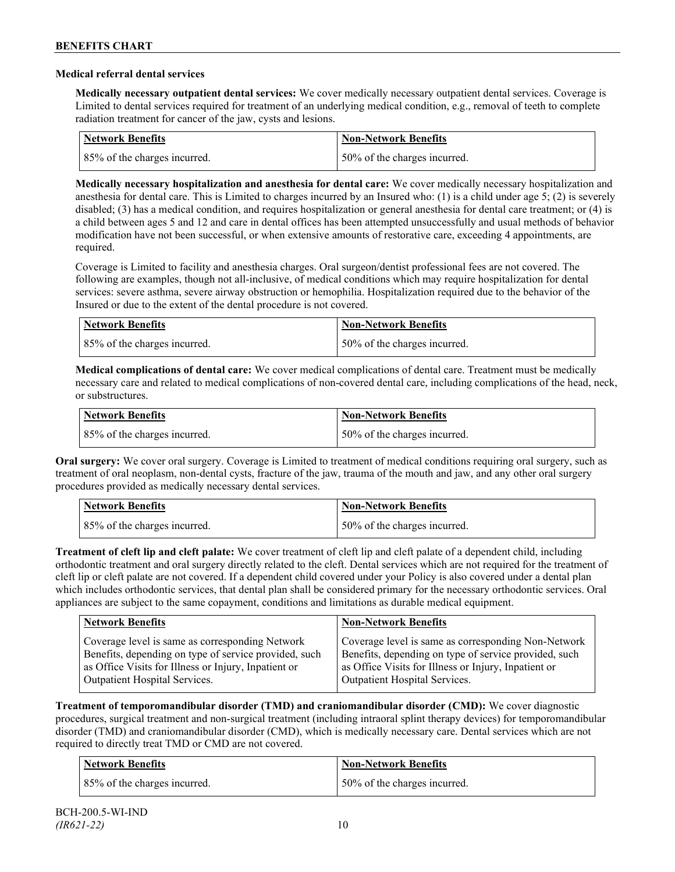### **Medical referral dental services**

**Medically necessary outpatient dental services:** We cover medically necessary outpatient dental services. Coverage is Limited to dental services required for treatment of an underlying medical condition, e.g., removal of teeth to complete radiation treatment for cancer of the jaw, cysts and lesions.

| Network Benefits             | <b>Non-Network Benefits</b>  |
|------------------------------|------------------------------|
| 85% of the charges incurred. | 50% of the charges incurred. |

**Medically necessary hospitalization and anesthesia for dental care:** We cover medically necessary hospitalization and anesthesia for dental care. This is Limited to charges incurred by an Insured who: (1) is a child under age 5; (2) is severely disabled; (3) has a medical condition, and requires hospitalization or general anesthesia for dental care treatment; or (4) is a child between ages 5 and 12 and care in dental offices has been attempted unsuccessfully and usual methods of behavior modification have not been successful, or when extensive amounts of restorative care, exceeding 4 appointments, are required.

Coverage is Limited to facility and anesthesia charges. Oral surgeon/dentist professional fees are not covered. The following are examples, though not all-inclusive, of medical conditions which may require hospitalization for dental services: severe asthma, severe airway obstruction or hemophilia. Hospitalization required due to the behavior of the Insured or due to the extent of the dental procedure is not covered.

| Network Benefits             | <b>Non-Network Benefits</b>  |
|------------------------------|------------------------------|
| 85% of the charges incurred. | 50% of the charges incurred. |

**Medical complications of dental care:** We cover medical complications of dental care. Treatment must be medically necessary care and related to medical complications of non-covered dental care, including complications of the head, neck, or substructures.

| Network Benefits             | Non-Network Benefits         |
|------------------------------|------------------------------|
| 85% of the charges incurred. | 50% of the charges incurred. |

**Oral surgery:** We cover oral surgery. Coverage is Limited to treatment of medical conditions requiring oral surgery, such as treatment of oral neoplasm, non-dental cysts, fracture of the jaw, trauma of the mouth and jaw, and any other oral surgery procedures provided as medically necessary dental services.

| <b>Network Benefits</b>      | <b>Non-Network Benefits</b>  |
|------------------------------|------------------------------|
| 85% of the charges incurred. | 50% of the charges incurred. |

**Treatment of cleft lip and cleft palate:** We cover treatment of cleft lip and cleft palate of a dependent child, including orthodontic treatment and oral surgery directly related to the cleft. Dental services which are not required for the treatment of cleft lip or cleft palate are not covered. If a dependent child covered under your Policy is also covered under a dental plan which includes orthodontic services, that dental plan shall be considered primary for the necessary orthodontic services. Oral appliances are subject to the same copayment, conditions and limitations as durable medical equipment.

| <b>Network Benefits</b>                               | <b>Non-Network Benefits</b>                           |
|-------------------------------------------------------|-------------------------------------------------------|
| Coverage level is same as corresponding Network       | Coverage level is same as corresponding Non-Network   |
| Benefits, depending on type of service provided, such | Benefits, depending on type of service provided, such |
| as Office Visits for Illness or Injury, Inpatient or  | as Office Visits for Illness or Injury, Inpatient or  |
| Outpatient Hospital Services.                         | Outpatient Hospital Services.                         |

**Treatment of temporomandibular disorder (TMD) and craniomandibular disorder (CMD):** We cover diagnostic procedures, surgical treatment and non-surgical treatment (including intraoral splint therapy devices) for temporomandibular disorder (TMD) and craniomandibular disorder (CMD), which is medically necessary care. Dental services which are not required to directly treat TMD or CMD are not covered.

| Network Benefits             | <b>Non-Network Benefits</b>  |
|------------------------------|------------------------------|
| 85% of the charges incurred. | 50% of the charges incurred. |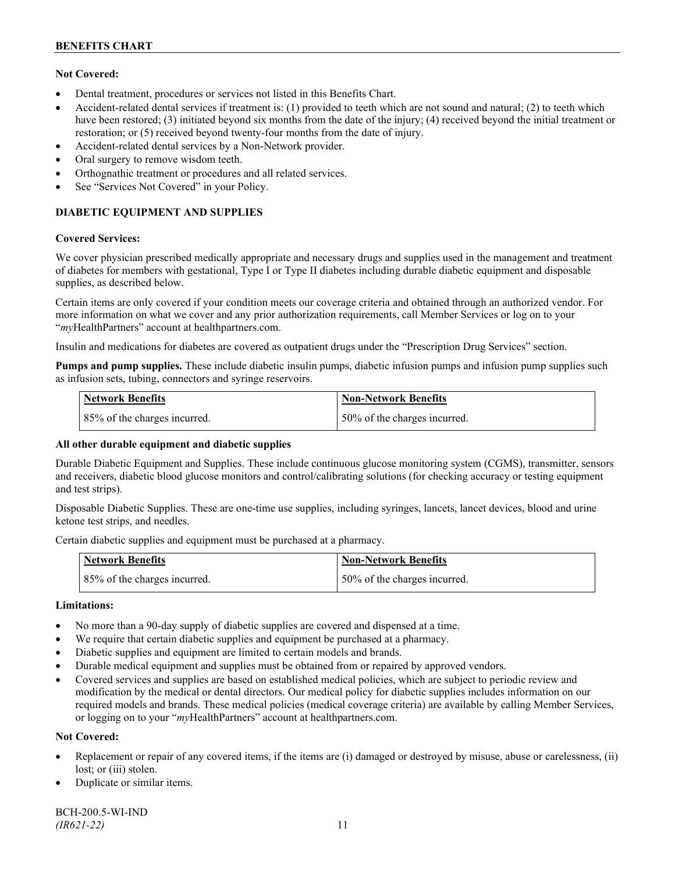## **Not Covered:**

- Dental treatment, procedures or services not listed in this Benefits Chart.
- Accident-related dental services if treatment is: (1) provided to teeth which are not sound and natural; (2) to teeth which have been restored; (3) initiated beyond six months from the date of the injury; (4) received beyond the initial treatment or restoration; or (5) received beyond twenty-four months from the date of injury.
- Accident-related dental services by a Non-Network provider.
- Oral surgery to remove wisdom teeth.
- Orthognathic treatment or procedures and all related services.
- See "Services Not Covered" in your Policy.

## **DIABETIC EQUIPMENT AND SUPPLIES**

#### **Covered Services:**

We cover physician prescribed medically appropriate and necessary drugs and supplies used in the management and treatment of diabetes for members with gestational, Type I or Type II diabetes including durable diabetic equipment and disposable supplies, as described below.

Certain items are only covered if your condition meets our coverage criteria and obtained through an authorized vendor. For more information on what we cover and any prior authorization requirements, call Member Services or log on to your "*my*HealthPartners" account at [healthpartners.com.](http://www.healthpartners.com/)

Insulin and medications for diabetes are covered as outpatient drugs under the "Prescription Drug Services" section.

**Pumps and pump supplies.** These include diabetic insulin pumps, diabetic infusion pumps and infusion pump supplies such as infusion sets, tubing, connectors and syringe reservoirs.

| <b>Network Benefits</b>      | <b>Non-Network Benefits</b>      |
|------------------------------|----------------------------------|
| 85% of the charges incurred. | $150\%$ of the charges incurred. |

## **All other durable equipment and diabetic supplies**

Durable Diabetic Equipment and Supplies. These include continuous glucose monitoring system (CGMS), transmitter, sensors and receivers, diabetic blood glucose monitors and control/calibrating solutions (for checking accuracy or testing equipment and test strips).

Disposable Diabetic Supplies. These are one-time use supplies, including syringes, lancets, lancet devices, blood and urine ketone test strips, and needles.

Certain diabetic supplies and equipment must be purchased at a pharmacy.

| <b>Network Benefits</b>      | <b>Non-Network Benefits</b>  |
|------------------------------|------------------------------|
| 85% of the charges incurred. | 50% of the charges incurred. |

## **Limitations:**

- No more than a 90-day supply of diabetic supplies are covered and dispensed at a time.
- We require that certain diabetic supplies and equipment be purchased at a pharmacy.
- Diabetic supplies and equipment are limited to certain models and brands.
- Durable medical equipment and supplies must be obtained from or repaired by approved vendors.
- Covered services and supplies are based on established medical policies, which are subject to periodic review and modification by the medical or dental directors. Our medical policy for diabetic supplies includes information on our required models and brands. These medical policies (medical coverage criteria) are available by calling Member Services, or logging on to your "*my*HealthPartners" account at healthpartners.com.

## **Not Covered:**

- Replacement or repair of any covered items, if the items are (i) damaged or destroyed by misuse, abuse or carelessness, (ii) lost; or (iii) stolen.
- Duplicate or similar items.

BCH-200.5-WI-IND *(IR621-22)* 11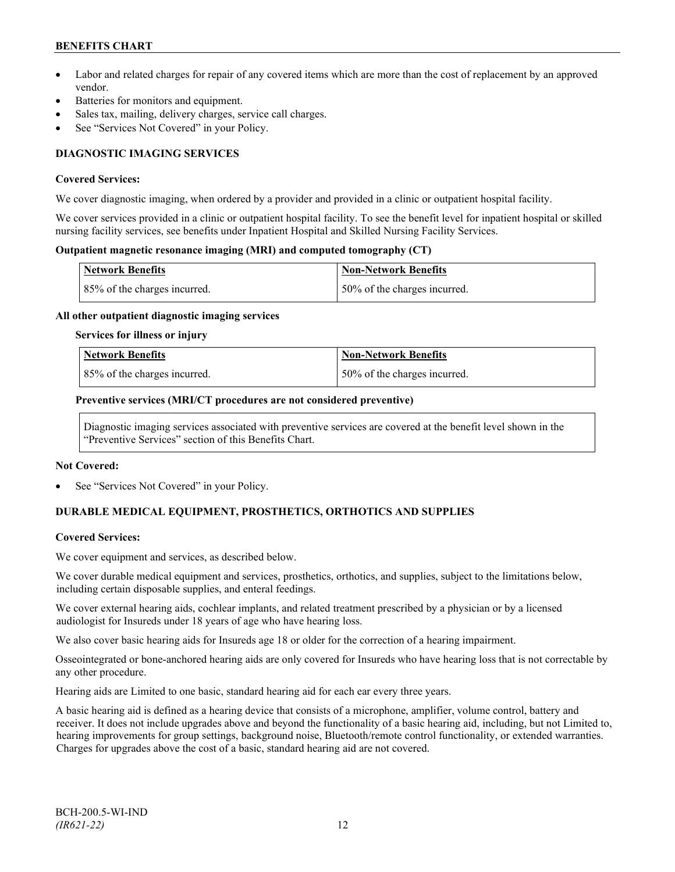## **BENEFITS CHART**

- Labor and related charges for repair of any covered items which are more than the cost of replacement by an approved vendor.
- Batteries for monitors and equipment.
- Sales tax, mailing, delivery charges, service call charges.
- See "Services Not Covered" in your Policy.

## **DIAGNOSTIC IMAGING SERVICES**

#### **Covered Services:**

We cover diagnostic imaging, when ordered by a provider and provided in a clinic or outpatient hospital facility.

We cover services provided in a clinic or outpatient hospital facility. To see the benefit level for inpatient hospital or skilled nursing facility services, see benefits under Inpatient Hospital and Skilled Nursing Facility Services.

#### **Outpatient magnetic resonance imaging (MRI) and computed tomography (CT)**

| <b>Network Benefits</b>      | <b>Non-Network Benefits</b>   |
|------------------------------|-------------------------------|
| 85% of the charges incurred. | 150% of the charges incurred. |

#### **All other outpatient diagnostic imaging services**

#### **Services for illness or injury**

| <b>Network Benefits</b>      | Non-Network Benefits         |
|------------------------------|------------------------------|
| 85% of the charges incurred. | 50% of the charges incurred. |

#### **Preventive services (MRI/CT procedures are not considered preventive)**

Diagnostic imaging services associated with preventive services are covered at the benefit level shown in the "Preventive Services" section of this Benefits Chart.

#### **Not Covered:**

See "Services Not Covered" in your Policy.

## **DURABLE MEDICAL EQUIPMENT, PROSTHETICS, ORTHOTICS AND SUPPLIES**

## **Covered Services:**

We cover equipment and services, as described below.

We cover durable medical equipment and services, prosthetics, orthotics, and supplies, subject to the limitations below, including certain disposable supplies, and enteral feedings.

We cover external hearing aids, cochlear implants, and related treatment prescribed by a physician or by a licensed audiologist for Insureds under 18 years of age who have hearing loss.

We also cover basic hearing aids for Insureds age 18 or older for the correction of a hearing impairment.

Osseointegrated or bone-anchored hearing aids are only covered for Insureds who have hearing loss that is not correctable by any other procedure.

Hearing aids are Limited to one basic, standard hearing aid for each ear every three years.

A basic hearing aid is defined as a hearing device that consists of a microphone, amplifier, volume control, battery and receiver. It does not include upgrades above and beyond the functionality of a basic hearing aid, including, but not Limited to, hearing improvements for group settings, background noise, Bluetooth/remote control functionality, or extended warranties. Charges for upgrades above the cost of a basic, standard hearing aid are not covered.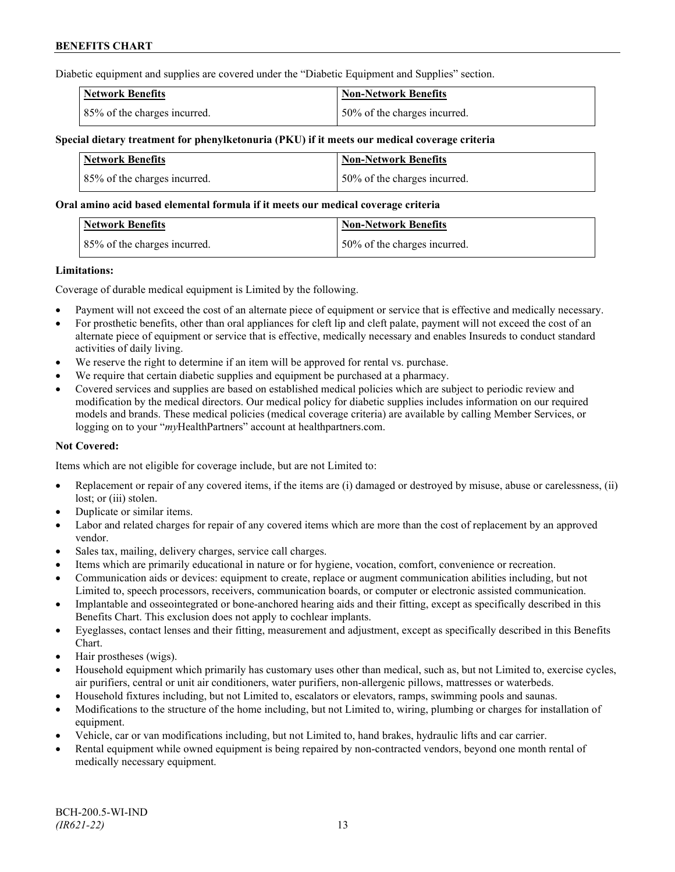Diabetic equipment and supplies are covered under the "Diabetic Equipment and Supplies" section.

| <b>Network Benefits</b>      | <b>Non-Network Benefits</b>  |
|------------------------------|------------------------------|
| 85% of the charges incurred. | 50% of the charges incurred. |

### **Special dietary treatment for phenylketonuria (PKU) if it meets our medical coverage criteria**

| Network Benefits             | <b>Non-Network Benefits</b>  |
|------------------------------|------------------------------|
| 85% of the charges incurred. | 50% of the charges incurred. |

#### **Oral amino acid based elemental formula if it meets our medical coverage criteria**

| <b>Network Benefits</b>      | Non-Network Benefits         |
|------------------------------|------------------------------|
| 85% of the charges incurred. | 50% of the charges incurred. |

#### **Limitations:**

Coverage of durable medical equipment is Limited by the following.

- Payment will not exceed the cost of an alternate piece of equipment or service that is effective and medically necessary.
- For prosthetic benefits, other than oral appliances for cleft lip and cleft palate, payment will not exceed the cost of an alternate piece of equipment or service that is effective, medically necessary and enables Insureds to conduct standard activities of daily living.
- We reserve the right to determine if an item will be approved for rental vs. purchase.
- We require that certain diabetic supplies and equipment be purchased at a pharmacy.
- Covered services and supplies are based on established medical policies which are subject to periodic review and modification by the medical directors. Our medical policy for diabetic supplies includes information on our required models and brands. These medical policies (medical coverage criteria) are available by calling Member Services, or logging on to your "*my*HealthPartners" account at [healthpartners.com.](http://www.healthpartners.com/)

## **Not Covered:**

Items which are not eligible for coverage include, but are not Limited to:

- Replacement or repair of any covered items, if the items are (i) damaged or destroyed by misuse, abuse or carelessness, (ii) lost; or (iii) stolen.
- Duplicate or similar items.
- Labor and related charges for repair of any covered items which are more than the cost of replacement by an approved vendor.
- Sales tax, mailing, delivery charges, service call charges.
- Items which are primarily educational in nature or for hygiene, vocation, comfort, convenience or recreation.
- Communication aids or devices: equipment to create, replace or augment communication abilities including, but not Limited to, speech processors, receivers, communication boards, or computer or electronic assisted communication.
- Implantable and osseointegrated or bone-anchored hearing aids and their fitting, except as specifically described in this Benefits Chart. This exclusion does not apply to cochlear implants.
- Eyeglasses, contact lenses and their fitting, measurement and adjustment, except as specifically described in this Benefits Chart.
- Hair prostheses (wigs).
- Household equipment which primarily has customary uses other than medical, such as, but not Limited to, exercise cycles, air purifiers, central or unit air conditioners, water purifiers, non-allergenic pillows, mattresses or waterbeds.
- Household fixtures including, but not Limited to, escalators or elevators, ramps, swimming pools and saunas.
- Modifications to the structure of the home including, but not Limited to, wiring, plumbing or charges for installation of equipment.
- Vehicle, car or van modifications including, but not Limited to, hand brakes, hydraulic lifts and car carrier.
- Rental equipment while owned equipment is being repaired by non-contracted vendors, beyond one month rental of medically necessary equipment.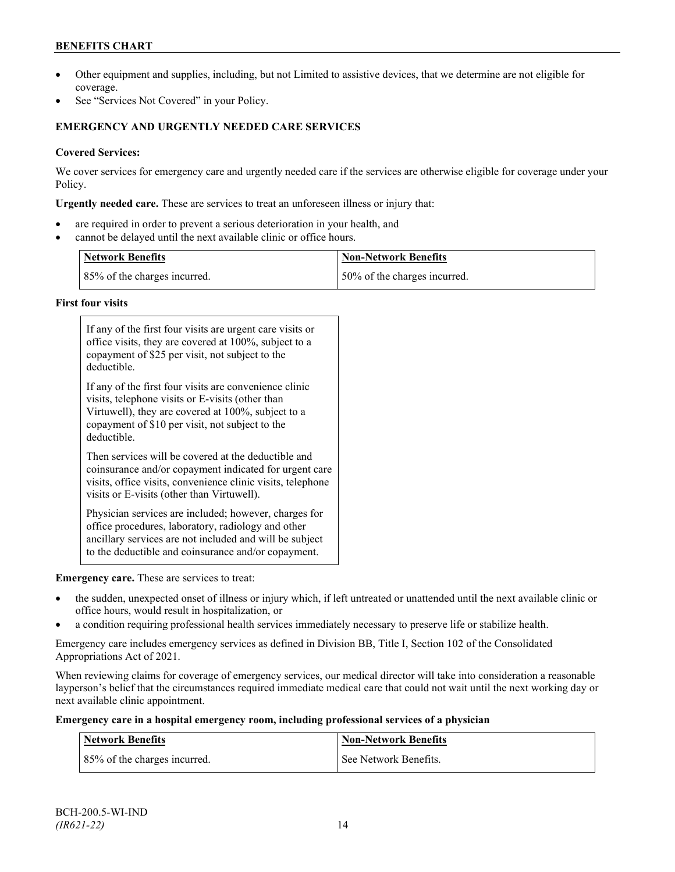## **BENEFITS CHART**

- Other equipment and supplies, including, but not Limited to assistive devices, that we determine are not eligible for coverage.
- See "Services Not Covered" in your Policy.

## **EMERGENCY AND URGENTLY NEEDED CARE SERVICES**

## **Covered Services:**

We cover services for emergency care and urgently needed care if the services are otherwise eligible for coverage under your Policy.

**Urgently needed care.** These are services to treat an unforeseen illness or injury that:

- are required in order to prevent a serious deterioration in your health, and
- cannot be delayed until the next available clinic or office hours.

| <b>Network Benefits</b>      | <b>Non-Network Benefits</b>  |
|------------------------------|------------------------------|
| 85% of the charges incurred. | 50% of the charges incurred. |

## **First four visits**

| If any of the first four visits are urgent care visits or<br>office visits, they are covered at 100%, subject to a<br>copayment of \$25 per visit, not subject to the<br>deductible.                                               |
|------------------------------------------------------------------------------------------------------------------------------------------------------------------------------------------------------------------------------------|
| If any of the first four visits are convenience clinic<br>visits, telephone visits or E-visits (other than<br>Virtuwell), they are covered at 100%, subject to a<br>copayment of \$10 per visit, not subject to the<br>deductible. |
| Then services will be covered at the deductible and<br>coinsurance and/or copayment indicated for urgent care<br>visits, office visits, convenience clinic visits, telephone<br>visits or E-visits (other than Virtuwell).         |
| Physician services are included; however, charges for<br>office procedures, laboratory, radiology and other<br>ancillary services are not included and will be subject<br>to the deductible and coinsurance and/or copayment.      |

## **Emergency care.** These are services to treat:

- the sudden, unexpected onset of illness or injury which, if left untreated or unattended until the next available clinic or office hours, would result in hospitalization, or
- a condition requiring professional health services immediately necessary to preserve life or stabilize health.

Emergency care includes emergency services as defined in Division BB, Title I, Section 102 of the Consolidated Appropriations Act of 2021.

When reviewing claims for coverage of emergency services, our medical director will take into consideration a reasonable layperson's belief that the circumstances required immediate medical care that could not wait until the next working day or next available clinic appointment.

#### **Emergency care in a hospital emergency room, including professional services of a physician**

| Network Benefits             | <b>Non-Network Benefits</b> |
|------------------------------|-----------------------------|
| 85% of the charges incurred. | See Network Benefits.       |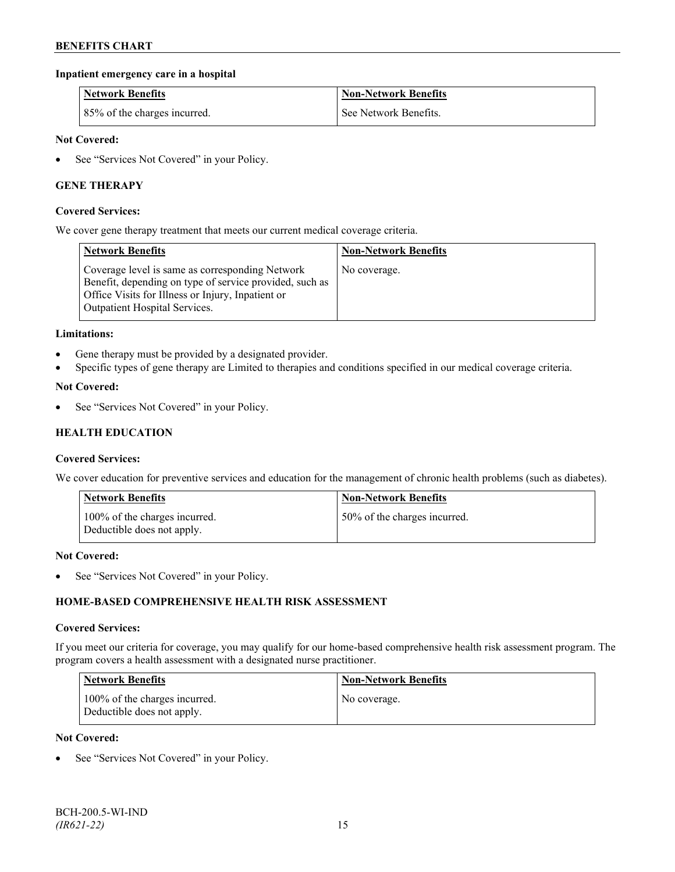## **Inpatient emergency care in a hospital**

| <b>Network Benefits</b>      | <b>Non-Network Benefits</b> |
|------------------------------|-----------------------------|
| 85% of the charges incurred. | See Network Benefits.       |

### **Not Covered:**

• See "Services Not Covered" in your Policy.

## **GENE THERAPY**

#### **Covered Services:**

We cover gene therapy treatment that meets our current medical coverage criteria.

| <b>Network Benefits</b>                                                                                                                                                                                 | <b>Non-Network Benefits</b> |
|---------------------------------------------------------------------------------------------------------------------------------------------------------------------------------------------------------|-----------------------------|
| Coverage level is same as corresponding Network<br>Benefit, depending on type of service provided, such as<br>Office Visits for Illness or Injury, Inpatient or<br><b>Outpatient Hospital Services.</b> | No coverage.                |

#### **Limitations:**

- Gene therapy must be provided by a designated provider.
- Specific types of gene therapy are Limited to therapies and conditions specified in our medical coverage criteria.

#### **Not Covered:**

See "Services Not Covered" in your Policy.

## **HEALTH EDUCATION**

#### **Covered Services:**

We cover education for preventive services and education for the management of chronic health problems (such as diabetes).

| <b>Network Benefits</b>                                     | <b>Non-Network Benefits</b>  |
|-------------------------------------------------------------|------------------------------|
| 100% of the charges incurred.<br>Deductible does not apply. | 50% of the charges incurred. |

#### **Not Covered:**

• See "Services Not Covered" in your Policy.

## **HOME-BASED COMPREHENSIVE HEALTH RISK ASSESSMENT**

#### **Covered Services:**

If you meet our criteria for coverage, you may qualify for our home-based comprehensive health risk assessment program. The program covers a health assessment with a designated nurse practitioner.

| <b>Network Benefits</b>                                     | <b>Non-Network Benefits</b> |
|-------------------------------------------------------------|-----------------------------|
| 100% of the charges incurred.<br>Deductible does not apply. | No coverage.                |

#### **Not Covered:**

See "Services Not Covered" in your Policy.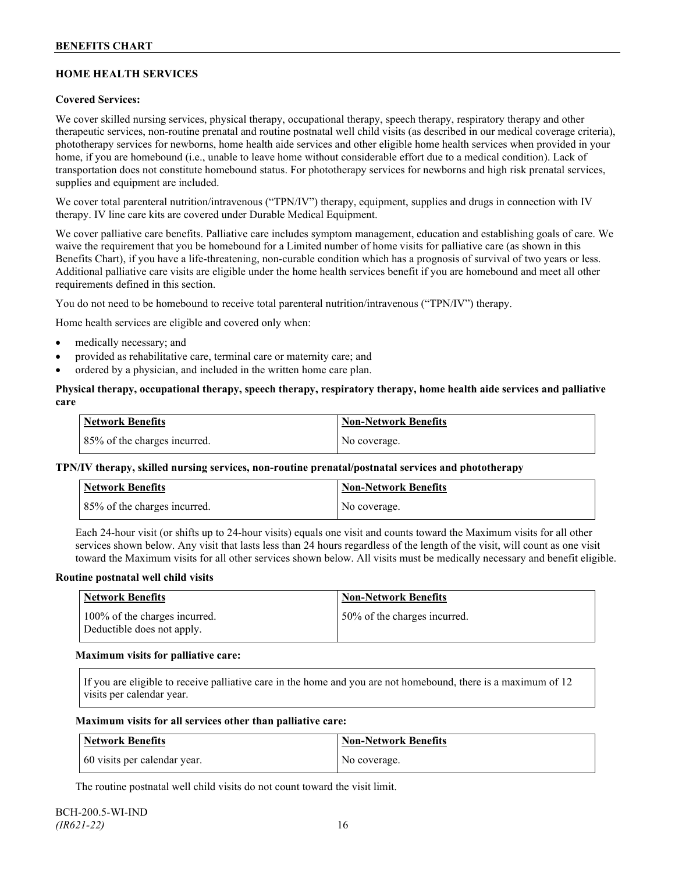## **HOME HEALTH SERVICES**

## **Covered Services:**

We cover skilled nursing services, physical therapy, occupational therapy, speech therapy, respiratory therapy and other therapeutic services, non-routine prenatal and routine postnatal well child visits (as described in our medical coverage criteria), phototherapy services for newborns, home health aide services and other eligible home health services when provided in your home, if you are homebound (i.e., unable to leave home without considerable effort due to a medical condition). Lack of transportation does not constitute homebound status. For phototherapy services for newborns and high risk prenatal services, supplies and equipment are included.

We cover total parenteral nutrition/intravenous ("TPN/IV") therapy, equipment, supplies and drugs in connection with IV therapy. IV line care kits are covered under Durable Medical Equipment.

We cover palliative care benefits. Palliative care includes symptom management, education and establishing goals of care. We waive the requirement that you be homebound for a Limited number of home visits for palliative care (as shown in this Benefits Chart), if you have a life-threatening, non-curable condition which has a prognosis of survival of two years or less. Additional palliative care visits are eligible under the home health services benefit if you are homebound and meet all other requirements defined in this section.

You do not need to be homebound to receive total parenteral nutrition/intravenous ("TPN/IV") therapy.

Home health services are eligible and covered only when:

- medically necessary; and
- provided as rehabilitative care, terminal care or maternity care; and
- ordered by a physician, and included in the written home care plan.

### **Physical therapy, occupational therapy, speech therapy, respiratory therapy, home health aide services and palliative care**

| <b>Network Benefits</b>      | <b>Non-Network Benefits</b> |
|------------------------------|-----------------------------|
| 85% of the charges incurred. | No coverage.                |

## **TPN/IV therapy, skilled nursing services, non-routine prenatal/postnatal services and phototherapy**

| <b>Network Benefits</b>      | <b>Non-Network Benefits</b> |
|------------------------------|-----------------------------|
| 85% of the charges incurred. | No coverage.                |

Each 24-hour visit (or shifts up to 24-hour visits) equals one visit and counts toward the Maximum visits for all other services shown below. Any visit that lasts less than 24 hours regardless of the length of the visit, will count as one visit toward the Maximum visits for all other services shown below. All visits must be medically necessary and benefit eligible.

#### **Routine postnatal well child visits**

| Network Benefits                                            | <b>Non-Network Benefits</b>  |
|-------------------------------------------------------------|------------------------------|
| 100% of the charges incurred.<br>Deductible does not apply. | 50% of the charges incurred. |

#### **Maximum visits for palliative care:**

If you are eligible to receive palliative care in the home and you are not homebound, there is a maximum of 12 visits per calendar year.

#### **Maximum visits for all services other than palliative care:**

| Network Benefits             | Non-Network Benefits |
|------------------------------|----------------------|
| 60 visits per calendar year. | No coverage.         |

The routine postnatal well child visits do not count toward the visit limit.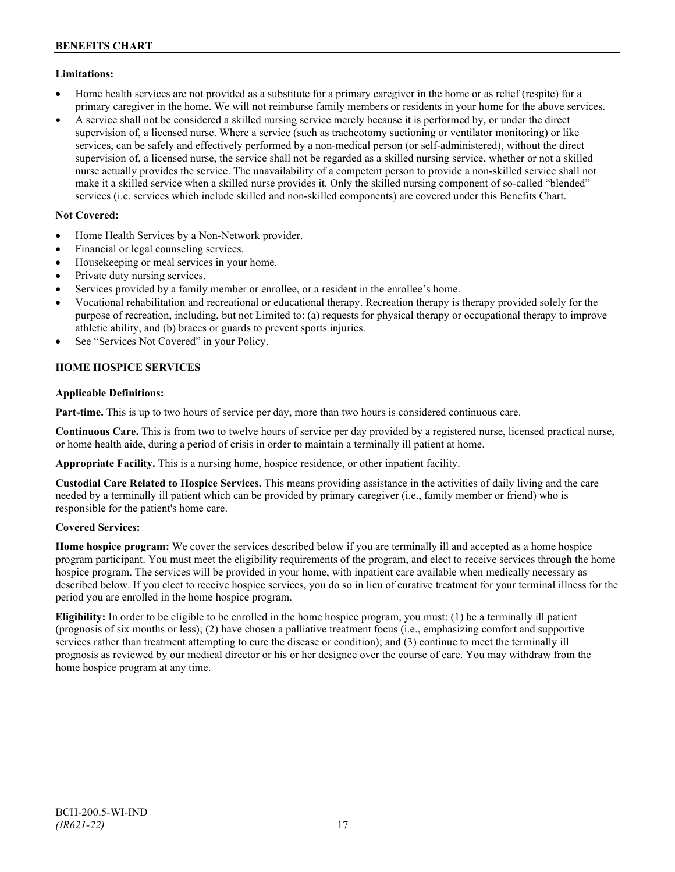## **Limitations:**

- Home health services are not provided as a substitute for a primary caregiver in the home or as relief (respite) for a primary caregiver in the home. We will not reimburse family members or residents in your home for the above services.
- A service shall not be considered a skilled nursing service merely because it is performed by, or under the direct supervision of, a licensed nurse. Where a service (such as tracheotomy suctioning or ventilator monitoring) or like services, can be safely and effectively performed by a non-medical person (or self-administered), without the direct supervision of, a licensed nurse, the service shall not be regarded as a skilled nursing service, whether or not a skilled nurse actually provides the service. The unavailability of a competent person to provide a non-skilled service shall not make it a skilled service when a skilled nurse provides it. Only the skilled nursing component of so-called "blended" services (i.e. services which include skilled and non-skilled components) are covered under this Benefits Chart.

## **Not Covered:**

- Home Health Services by a Non-Network provider.
- Financial or legal counseling services.
- Housekeeping or meal services in your home.
- Private duty nursing services.
- Services provided by a family member or enrollee, or a resident in the enrollee's home.
- Vocational rehabilitation and recreational or educational therapy. Recreation therapy is therapy provided solely for the purpose of recreation, including, but not Limited to: (a) requests for physical therapy or occupational therapy to improve athletic ability, and (b) braces or guards to prevent sports injuries.
- See "Services Not Covered" in your Policy.

## **HOME HOSPICE SERVICES**

## **Applicable Definitions:**

**Part-time.** This is up to two hours of service per day, more than two hours is considered continuous care.

**Continuous Care.** This is from two to twelve hours of service per day provided by a registered nurse, licensed practical nurse, or home health aide, during a period of crisis in order to maintain a terminally ill patient at home.

**Appropriate Facility.** This is a nursing home, hospice residence, or other inpatient facility.

**Custodial Care Related to Hospice Services.** This means providing assistance in the activities of daily living and the care needed by a terminally ill patient which can be provided by primary caregiver (i.e., family member or friend) who is responsible for the patient's home care.

## **Covered Services:**

**Home hospice program:** We cover the services described below if you are terminally ill and accepted as a home hospice program participant. You must meet the eligibility requirements of the program, and elect to receive services through the home hospice program. The services will be provided in your home, with inpatient care available when medically necessary as described below. If you elect to receive hospice services, you do so in lieu of curative treatment for your terminal illness for the period you are enrolled in the home hospice program.

**Eligibility:** In order to be eligible to be enrolled in the home hospice program, you must: (1) be a terminally ill patient (prognosis of six months or less); (2) have chosen a palliative treatment focus (i.e., emphasizing comfort and supportive services rather than treatment attempting to cure the disease or condition); and (3) continue to meet the terminally ill prognosis as reviewed by our medical director or his or her designee over the course of care. You may withdraw from the home hospice program at any time.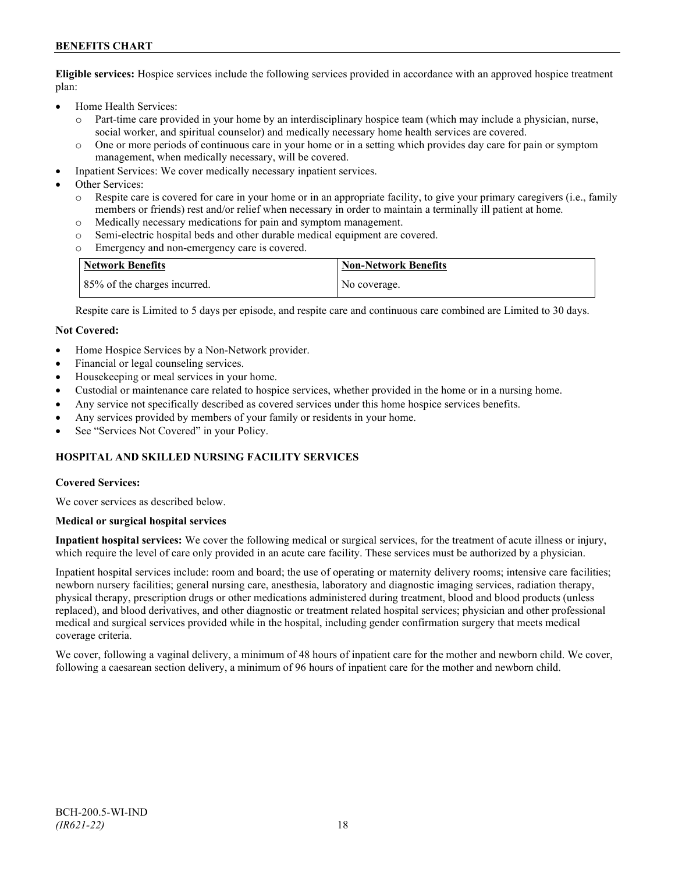## **BENEFITS CHART**

**Eligible services:** Hospice services include the following services provided in accordance with an approved hospice treatment plan:

- Home Health Services:
	- o Part-time care provided in your home by an interdisciplinary hospice team (which may include a physician, nurse, social worker, and spiritual counselor) and medically necessary home health services are covered.
	- o One or more periods of continuous care in your home or in a setting which provides day care for pain or symptom management, when medically necessary, will be covered.
- Inpatient Services: We cover medically necessary inpatient services.
- Other Services:
	- Respite care is covered for care in your home or in an appropriate facility, to give your primary caregivers (i.e., family members or friends) rest and/or relief when necessary in order to maintain a terminally ill patient at home*.*
	- o Medically necessary medications for pain and symptom management.
	- o Semi-electric hospital beds and other durable medical equipment are covered.
	- Emergency and non-emergency care is covered.

| Network Benefits             | <b>Non-Network Benefits</b> |
|------------------------------|-----------------------------|
| 85% of the charges incurred. | No coverage.                |

Respite care is Limited to 5 days per episode, and respite care and continuous care combined are Limited to 30 days.

#### **Not Covered:**

- Home Hospice Services by a Non-Network provider.
- Financial or legal counseling services.
- Housekeeping or meal services in your home.
- Custodial or maintenance care related to hospice services, whether provided in the home or in a nursing home.
- Any service not specifically described as covered services under this home hospice services benefits.
- Any services provided by members of your family or residents in your home.
- See "Services Not Covered" in your Policy.

## **HOSPITAL AND SKILLED NURSING FACILITY SERVICES**

#### **Covered Services:**

We cover services as described below.

#### **Medical or surgical hospital services**

**Inpatient hospital services:** We cover the following medical or surgical services, for the treatment of acute illness or injury, which require the level of care only provided in an acute care facility. These services must be authorized by a physician.

Inpatient hospital services include: room and board; the use of operating or maternity delivery rooms; intensive care facilities; newborn nursery facilities; general nursing care, anesthesia, laboratory and diagnostic imaging services, radiation therapy, physical therapy, prescription drugs or other medications administered during treatment, blood and blood products (unless replaced), and blood derivatives, and other diagnostic or treatment related hospital services; physician and other professional medical and surgical services provided while in the hospital, including gender confirmation surgery that meets medical coverage criteria.

We cover, following a vaginal delivery, a minimum of 48 hours of inpatient care for the mother and newborn child. We cover, following a caesarean section delivery, a minimum of 96 hours of inpatient care for the mother and newborn child.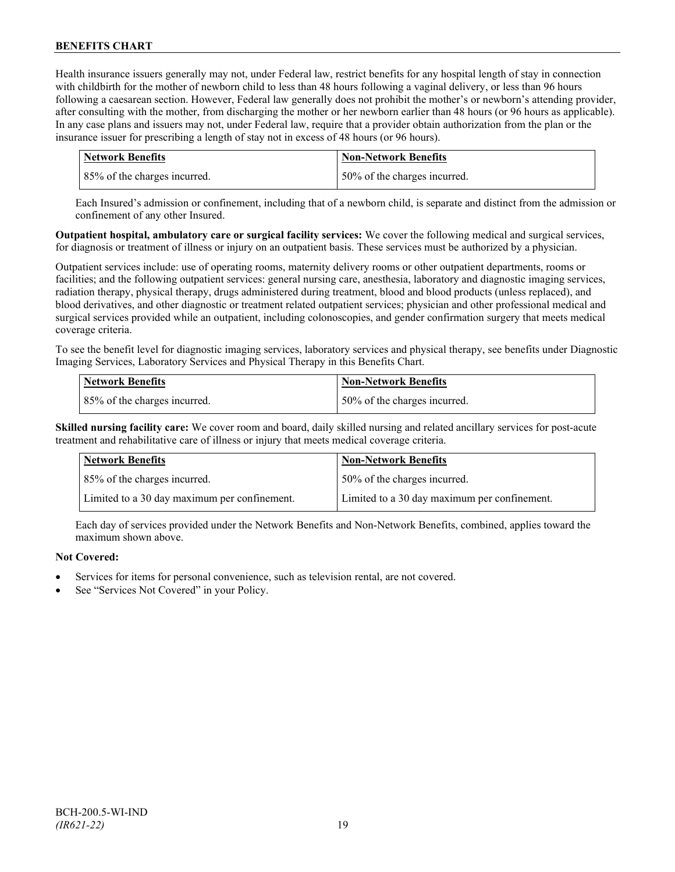Health insurance issuers generally may not, under Federal law, restrict benefits for any hospital length of stay in connection with childbirth for the mother of newborn child to less than 48 hours following a vaginal delivery, or less than 96 hours following a caesarean section. However, Federal law generally does not prohibit the mother's or newborn's attending provider, after consulting with the mother, from discharging the mother or her newborn earlier than 48 hours (or 96 hours as applicable). In any case plans and issuers may not, under Federal law, require that a provider obtain authorization from the plan or the insurance issuer for prescribing a length of stay not in excess of 48 hours (or 96 hours).

| Network Benefits             | <b>Non-Network Benefits</b>  |
|------------------------------|------------------------------|
| 85% of the charges incurred. | 50% of the charges incurred. |

Each Insured's admission or confinement, including that of a newborn child, is separate and distinct from the admission or confinement of any other Insured.

**Outpatient hospital, ambulatory care or surgical facility services:** We cover the following medical and surgical services, for diagnosis or treatment of illness or injury on an outpatient basis. These services must be authorized by a physician.

Outpatient services include: use of operating rooms, maternity delivery rooms or other outpatient departments, rooms or facilities; and the following outpatient services: general nursing care, anesthesia, laboratory and diagnostic imaging services, radiation therapy, physical therapy, drugs administered during treatment, blood and blood products (unless replaced), and blood derivatives, and other diagnostic or treatment related outpatient services; physician and other professional medical and surgical services provided while an outpatient, including colonoscopies, and gender confirmation surgery that meets medical coverage criteria.

To see the benefit level for diagnostic imaging services, laboratory services and physical therapy, see benefits under Diagnostic Imaging Services, Laboratory Services and Physical Therapy in this Benefits Chart.

| <b>Network Benefits</b>      | <b>Non-Network Benefits</b>  |
|------------------------------|------------------------------|
| 85% of the charges incurred. | 50% of the charges incurred. |

**Skilled nursing facility care:** We cover room and board, daily skilled nursing and related ancillary services for post-acute treatment and rehabilitative care of illness or injury that meets medical coverage criteria.

| <b>Network Benefits</b>                      | <b>Non-Network Benefits</b>                  |
|----------------------------------------------|----------------------------------------------|
| 85% of the charges incurred.                 | 50% of the charges incurred.                 |
| Limited to a 30 day maximum per confinement. | Limited to a 30 day maximum per confinement. |

Each day of services provided under the Network Benefits and Non-Network Benefits, combined, applies toward the maximum shown above.

## **Not Covered:**

- Services for items for personal convenience, such as television rental, are not covered.
- See "Services Not Covered" in your Policy.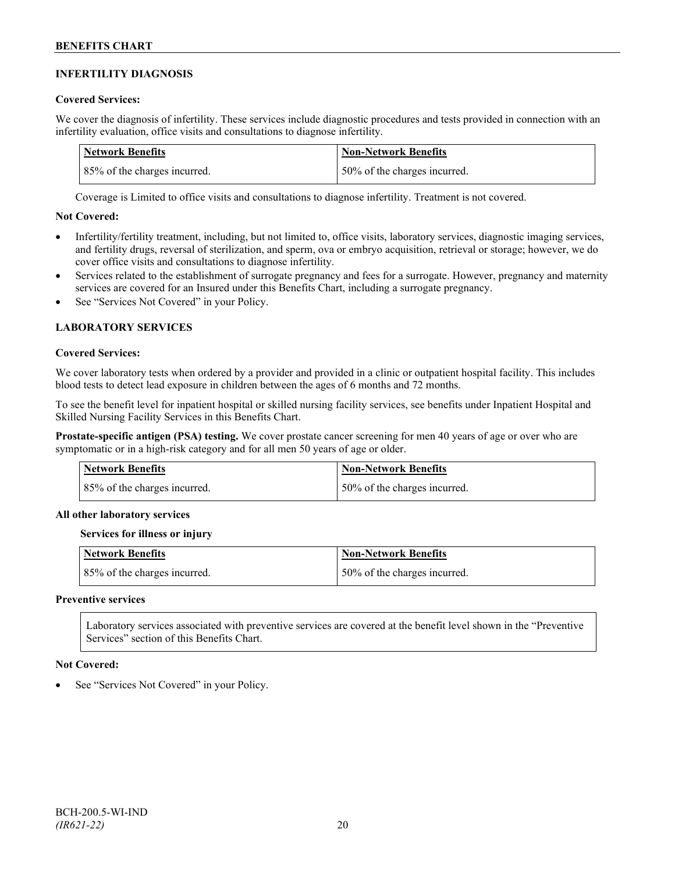## **INFERTILITY DIAGNOSIS**

## **Covered Services:**

We cover the diagnosis of infertility. These services include diagnostic procedures and tests provided in connection with an infertility evaluation, office visits and consultations to diagnose infertility.

| Network Benefits             | <b>Non-Network Benefits</b>  |
|------------------------------|------------------------------|
| 85% of the charges incurred. | 50% of the charges incurred. |

Coverage is Limited to office visits and consultations to diagnose infertility. Treatment is not covered.

## **Not Covered:**

- Infertility/fertility treatment, including, but not limited to, office visits, laboratory services, diagnostic imaging services, and fertility drugs, reversal of sterilization, and sperm, ova or embryo acquisition, retrieval or storage; however, we do cover office visits and consultations to diagnose infertility.
- Services related to the establishment of surrogate pregnancy and fees for a surrogate. However, pregnancy and maternity services are covered for an Insured under this Benefits Chart, including a surrogate pregnancy.
- See "Services Not Covered" in your Policy.

## **LABORATORY SERVICES**

#### **Covered Services:**

We cover laboratory tests when ordered by a provider and provided in a clinic or outpatient hospital facility. This includes blood tests to detect lead exposure in children between the ages of 6 months and 72 months.

To see the benefit level for inpatient hospital or skilled nursing facility services, see benefits under Inpatient Hospital and Skilled Nursing Facility Services in this Benefits Chart.

**Prostate-specific antigen (PSA) testing.** We cover prostate cancer screening for men 40 years of age or over who are symptomatic or in a high-risk category and for all men 50 years of age or older.

| Network Benefits             | <b>Non-Network Benefits</b>  |
|------------------------------|------------------------------|
| 85% of the charges incurred. | 50% of the charges incurred. |

#### **All other laboratory services**

#### **Services for illness or injury**

| <b>Network Benefits</b>      | <b>Non-Network Benefits</b>  |
|------------------------------|------------------------------|
| 85% of the charges incurred. | 50% of the charges incurred. |

#### **Preventive services**

Laboratory services associated with preventive services are covered at the benefit level shown in the "Preventive Services" section of this Benefits Chart.

#### **Not Covered:**

See "Services Not Covered" in your Policy.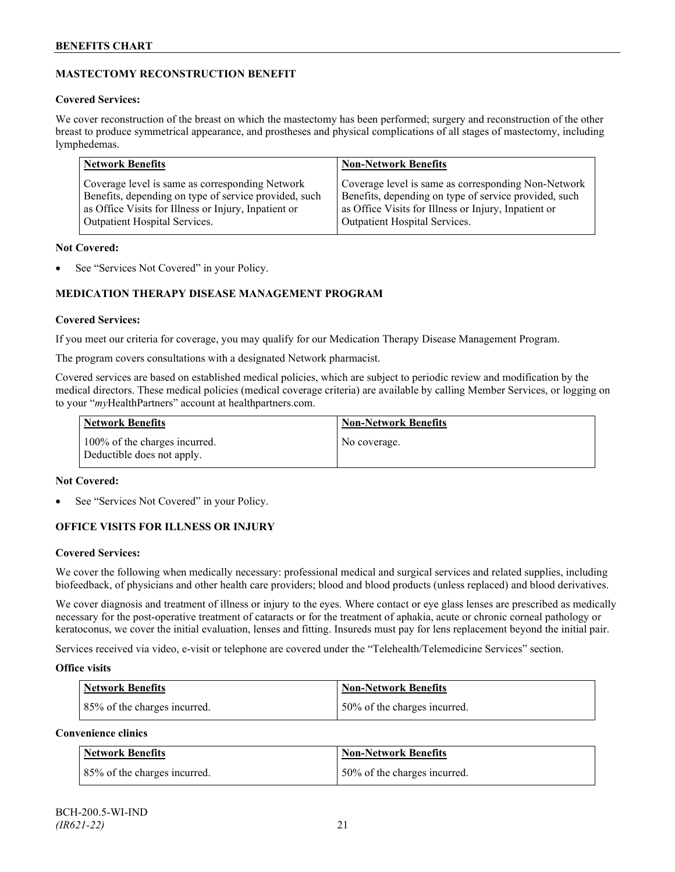## **MASTECTOMY RECONSTRUCTION BENEFIT**

## **Covered Services:**

We cover reconstruction of the breast on which the mastectomy has been performed; surgery and reconstruction of the other breast to produce symmetrical appearance, and prostheses and physical complications of all stages of mastectomy, including lymphedemas.

| <b>Network Benefits</b>                               | <b>Non-Network Benefits</b>                           |
|-------------------------------------------------------|-------------------------------------------------------|
| Coverage level is same as corresponding Network       | Coverage level is same as corresponding Non-Network   |
| Benefits, depending on type of service provided, such | Benefits, depending on type of service provided, such |
| as Office Visits for Illness or Injury, Inpatient or  | as Office Visits for Illness or Injury, Inpatient or  |
| Outpatient Hospital Services.                         | Outpatient Hospital Services.                         |

## **Not Covered:**

See "Services Not Covered" in your Policy.

## **MEDICATION THERAPY DISEASE MANAGEMENT PROGRAM**

## **Covered Services:**

If you meet our criteria for coverage, you may qualify for our Medication Therapy Disease Management Program.

The program covers consultations with a designated Network pharmacist.

Covered services are based on established medical policies, which are subject to periodic review and modification by the medical directors. These medical policies (medical coverage criteria) are available by calling Member Services, or logging on to your "*my*HealthPartners" account at [healthpartners.com.](http://www.healthpartners.com/)

| <b>Network Benefits</b>                                     | <b>Non-Network Benefits</b> |
|-------------------------------------------------------------|-----------------------------|
| 100% of the charges incurred.<br>Deductible does not apply. | No coverage.                |

## **Not Covered:**

See "Services Not Covered" in your Policy.

## **OFFICE VISITS FOR ILLNESS OR INJURY**

## **Covered Services:**

We cover the following when medically necessary: professional medical and surgical services and related supplies, including biofeedback, of physicians and other health care providers; blood and blood products (unless replaced) and blood derivatives.

We cover diagnosis and treatment of illness or injury to the eyes. Where contact or eye glass lenses are prescribed as medically necessary for the post-operative treatment of cataracts or for the treatment of aphakia, acute or chronic corneal pathology or keratoconus, we cover the initial evaluation, lenses and fitting. Insureds must pay for lens replacement beyond the initial pair.

Services received via video, e-visit or telephone are covered under the "Telehealth/Telemedicine Services" section.

## **Office visits**

| Network Benefits             | <b>Non-Network Benefits</b>  |
|------------------------------|------------------------------|
| 85% of the charges incurred. | 50% of the charges incurred. |

## **Convenience clinics**

| <b>Network Benefits</b>      | <b>Non-Network Benefits</b>  |
|------------------------------|------------------------------|
| 85% of the charges incurred. | 50% of the charges incurred. |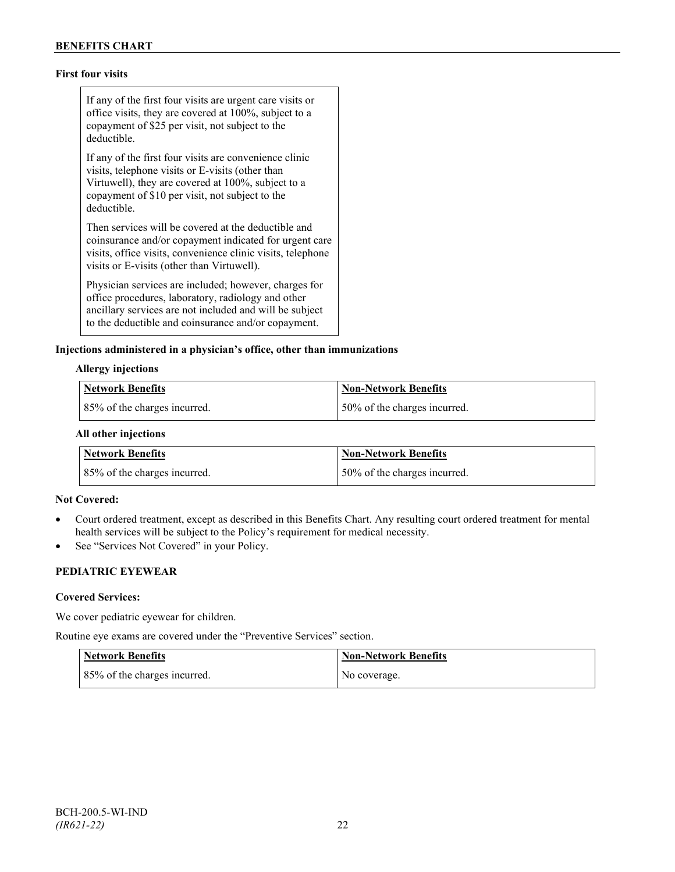## **First four visits**

If any of the first four visits are urgent care visits or office visits, they are covered at 100%, subject to a copayment of \$25 per visit, not subject to the deductible.

If any of the first four visits are convenience clinic visits, telephone visits or E-visits (other than Virtuwell), they are covered at 100%, subject to a copayment of \$10 per visit, not subject to the deductible.

Then services will be covered at the deductible and coinsurance and/or copayment indicated for urgent care visits, office visits, convenience clinic visits, telephone visits or E-visits (other than Virtuwell).

Physician services are included; however, charges for office procedures, laboratory, radiology and other ancillary services are not included and will be subject to the deductible and coinsurance and/or copayment.

#### **Injections administered in a physician's office, other than immunizations**

#### **Allergy injections**

| Network Benefits             | Non-Network Benefits         |
|------------------------------|------------------------------|
| 85% of the charges incurred. | 50% of the charges incurred. |

#### **All other injections**

| <b>Network Benefits</b>      | Non-Network Benefits         |
|------------------------------|------------------------------|
| 85% of the charges incurred. | 50% of the charges incurred. |

#### **Not Covered:**

- Court ordered treatment, except as described in this Benefits Chart. Any resulting court ordered treatment for mental health services will be subject to the Policy's requirement for medical necessity.
- See "Services Not Covered" in your Policy.

## **PEDIATRIC EYEWEAR**

#### **Covered Services:**

We cover pediatric eyewear for children.

Routine eye exams are covered under the "Preventive Services" section.

| <b>Network Benefits</b>      | <b>Non-Network Benefits</b> |
|------------------------------|-----------------------------|
| 85% of the charges incurred. | No coverage.                |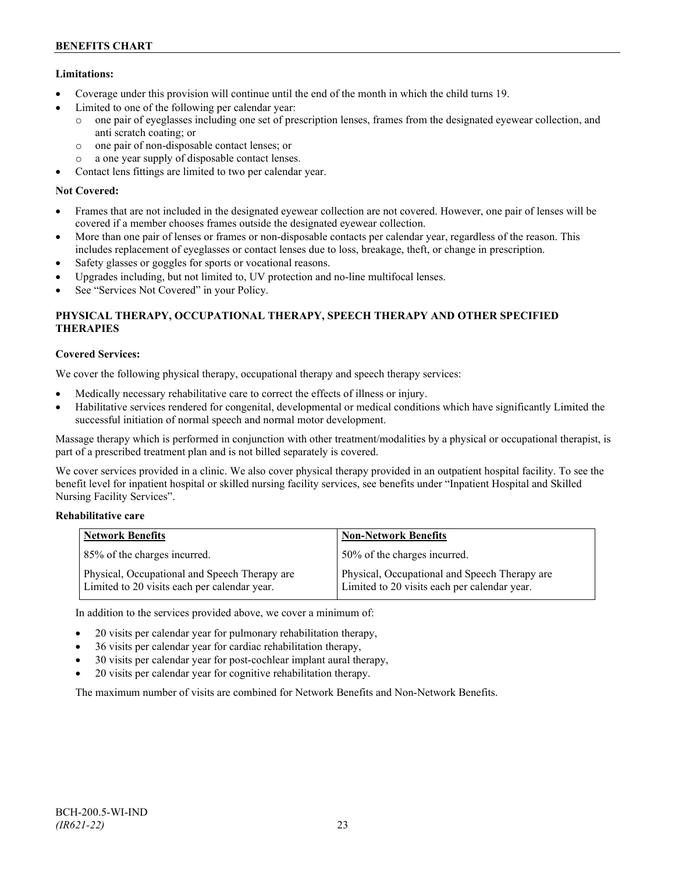## **Limitations:**

- Coverage under this provision will continue until the end of the month in which the child turns 19.
- Limited to one of the following per calendar year:
	- o one pair of eyeglasses including one set of prescription lenses, frames from the designated eyewear collection, and anti scratch coating; or
	- o one pair of non-disposable contact lenses; or
	- o a one year supply of disposable contact lenses.
- Contact lens fittings are limited to two per calendar year.

## **Not Covered:**

- Frames that are not included in the designated eyewear collection are not covered. However, one pair of lenses will be covered if a member chooses frames outside the designated eyewear collection.
- More than one pair of lenses or frames or non-disposable contacts per calendar year, regardless of the reason. This includes replacement of eyeglasses or contact lenses due to loss, breakage, theft, or change in prescription.
- Safety glasses or goggles for sports or vocational reasons.
- Upgrades including, but not limited to, UV protection and no-line multifocal lenses.
- See "Services Not Covered" in your Policy.

## **PHYSICAL THERAPY, OCCUPATIONAL THERAPY, SPEECH THERAPY AND OTHER SPECIFIED THERAPIES**

## **Covered Services:**

We cover the following physical therapy, occupational therapy and speech therapy services:

- Medically necessary rehabilitative care to correct the effects of illness or injury.
- Habilitative services rendered for congenital, developmental or medical conditions which have significantly Limited the successful initiation of normal speech and normal motor development.

Massage therapy which is performed in conjunction with other treatment/modalities by a physical or occupational therapist, is part of a prescribed treatment plan and is not billed separately is covered.

We cover services provided in a clinic. We also cover physical therapy provided in an outpatient hospital facility. To see the benefit level for inpatient hospital or skilled nursing facility services, see benefits under "Inpatient Hospital and Skilled Nursing Facility Services".

## **Rehabilitative care**

| <b>Network Benefits</b>                                                                       | <b>Non-Network Benefits</b>                                                                   |
|-----------------------------------------------------------------------------------------------|-----------------------------------------------------------------------------------------------|
| 85% of the charges incurred.                                                                  | 50% of the charges incurred.                                                                  |
| Physical, Occupational and Speech Therapy are<br>Limited to 20 visits each per calendar year. | Physical, Occupational and Speech Therapy are<br>Limited to 20 visits each per calendar year. |

In addition to the services provided above, we cover a minimum of:

- 20 visits per calendar year for pulmonary rehabilitation therapy,
- 36 visits per calendar year for cardiac rehabilitation therapy,
- 30 visits per calendar year for post-cochlear implant aural therapy,
- 20 visits per calendar year for cognitive rehabilitation therapy.

The maximum number of visits are combined for Network Benefits and Non-Network Benefits.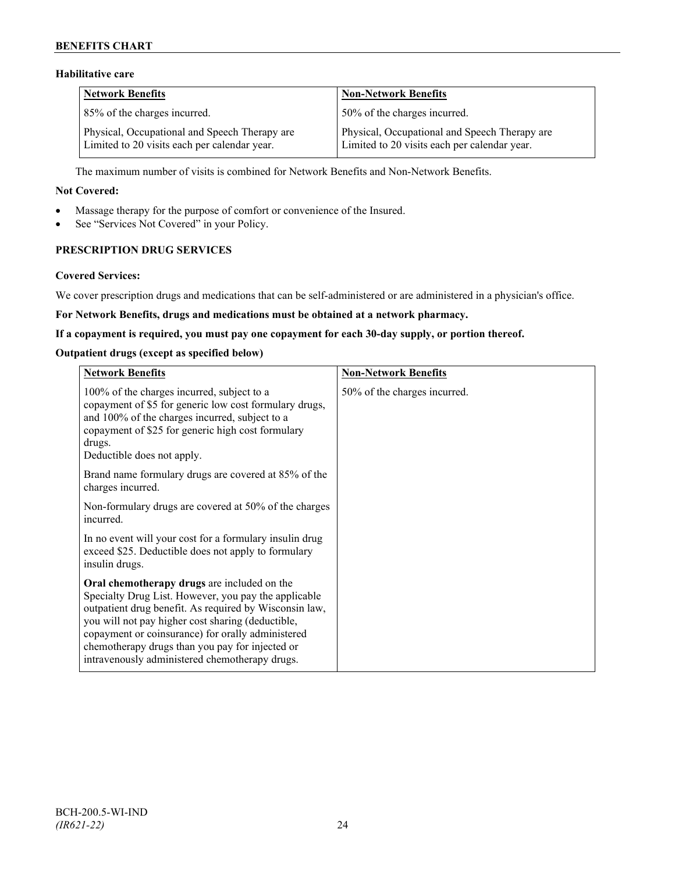## **BENEFITS CHART**

## **Habilitative care**

| <b>Network Benefits</b>                                                                       | <b>Non-Network Benefits</b>                                                                   |
|-----------------------------------------------------------------------------------------------|-----------------------------------------------------------------------------------------------|
| 85% of the charges incurred.                                                                  | 50% of the charges incurred.                                                                  |
| Physical, Occupational and Speech Therapy are<br>Limited to 20 visits each per calendar year. | Physical, Occupational and Speech Therapy are<br>Limited to 20 visits each per calendar year. |

The maximum number of visits is combined for Network Benefits and Non-Network Benefits.

#### **Not Covered:**

- Massage therapy for the purpose of comfort or convenience of the Insured.
- See "Services Not Covered" in your Policy.

## **PRESCRIPTION DRUG SERVICES**

#### **Covered Services:**

We cover prescription drugs and medications that can be self-administered or are administered in a physician's office.

### **For Network Benefits, drugs and medications must be obtained at a network pharmacy.**

#### **If a copayment is required, you must pay one copayment for each 30-day supply, or portion thereof.**

### **Outpatient drugs (except as specified below)**

| <b>Network Benefits</b>                                                                                                                                                                                                                                                                                                                                                      | <b>Non-Network Benefits</b>  |
|------------------------------------------------------------------------------------------------------------------------------------------------------------------------------------------------------------------------------------------------------------------------------------------------------------------------------------------------------------------------------|------------------------------|
| 100% of the charges incurred, subject to a<br>copayment of \$5 for generic low cost formulary drugs,<br>and 100% of the charges incurred, subject to a<br>copayment of \$25 for generic high cost formulary<br>drugs.<br>Deductible does not apply.                                                                                                                          | 50% of the charges incurred. |
| Brand name formulary drugs are covered at 85% of the<br>charges incurred.                                                                                                                                                                                                                                                                                                    |                              |
| Non-formulary drugs are covered at 50% of the charges<br>incurred.                                                                                                                                                                                                                                                                                                           |                              |
| In no event will your cost for a formulary insulin drug<br>exceed \$25. Deductible does not apply to formulary<br>insulin drugs.                                                                                                                                                                                                                                             |                              |
| Oral chemotherapy drugs are included on the<br>Specialty Drug List. However, you pay the applicable<br>outpatient drug benefit. As required by Wisconsin law,<br>you will not pay higher cost sharing (deductible,<br>copayment or coinsurance) for orally administered<br>chemotherapy drugs than you pay for injected or<br>intravenously administered chemotherapy drugs. |                              |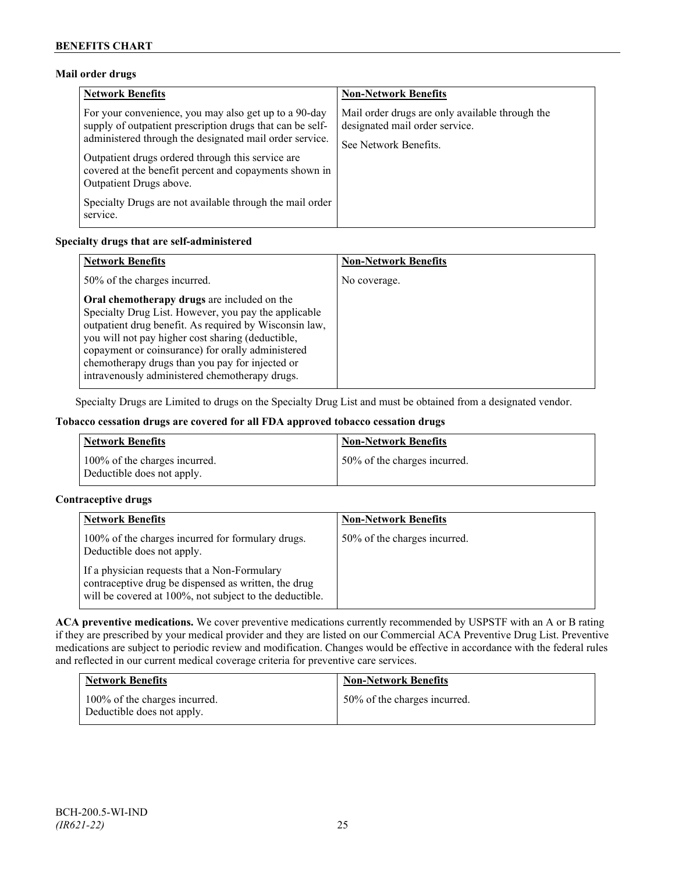## **Mail order drugs**

| <b>Network Benefits</b>                                                                                                                                                                                                                                                                                                 | <b>Non-Network Benefits</b>                                                                                |
|-------------------------------------------------------------------------------------------------------------------------------------------------------------------------------------------------------------------------------------------------------------------------------------------------------------------------|------------------------------------------------------------------------------------------------------------|
| For your convenience, you may also get up to a 90-day<br>supply of outpatient prescription drugs that can be self-<br>administered through the designated mail order service.<br>Outpatient drugs ordered through this service are<br>covered at the benefit percent and copayments shown in<br>Outpatient Drugs above. | Mail order drugs are only available through the<br>designated mail order service.<br>See Network Benefits. |
| Specialty Drugs are not available through the mail order<br>service.                                                                                                                                                                                                                                                    |                                                                                                            |

## **Specialty drugs that are self-administered**

| <b>Network Benefits</b>                                                                                                                                                                                                                                                                                                                                                      | <b>Non-Network Benefits</b> |
|------------------------------------------------------------------------------------------------------------------------------------------------------------------------------------------------------------------------------------------------------------------------------------------------------------------------------------------------------------------------------|-----------------------------|
| 50% of the charges incurred.                                                                                                                                                                                                                                                                                                                                                 | No coverage.                |
| Oral chemotherapy drugs are included on the<br>Specialty Drug List. However, you pay the applicable<br>outpatient drug benefit. As required by Wisconsin law,<br>you will not pay higher cost sharing (deductible,<br>copayment or coinsurance) for orally administered<br>chemotherapy drugs than you pay for injected or<br>intravenously administered chemotherapy drugs. |                             |

Specialty Drugs are Limited to drugs on the Specialty Drug List and must be obtained from a designated vendor.

## **Tobacco cessation drugs are covered for all FDA approved tobacco cessation drugs**

| <b>Network Benefits</b>                                     | <b>Non-Network Benefits</b>  |
|-------------------------------------------------------------|------------------------------|
| 100% of the charges incurred.<br>Deductible does not apply. | 50% of the charges incurred. |

## **Contraceptive drugs**

| <b>Network Benefits</b>                                                                                                                                         | <b>Non-Network Benefits</b>  |
|-----------------------------------------------------------------------------------------------------------------------------------------------------------------|------------------------------|
| 100% of the charges incurred for formulary drugs.<br>Deductible does not apply.                                                                                 | 50% of the charges incurred. |
| If a physician requests that a Non-Formulary<br>contraceptive drug be dispensed as written, the drug<br>will be covered at 100%, not subject to the deductible. |                              |

**ACA preventive medications.** We cover preventive medications currently recommended by USPSTF with an A or B rating if they are prescribed by your medical provider and they are listed on our Commercial ACA Preventive Drug List. Preventive medications are subject to periodic review and modification. Changes would be effective in accordance with the federal rules and reflected in our current medical coverage criteria for preventive care services.

| <b>Network Benefits</b>                                     | <b>Non-Network Benefits</b>  |
|-------------------------------------------------------------|------------------------------|
| 100% of the charges incurred.<br>Deductible does not apply. | 50% of the charges incurred. |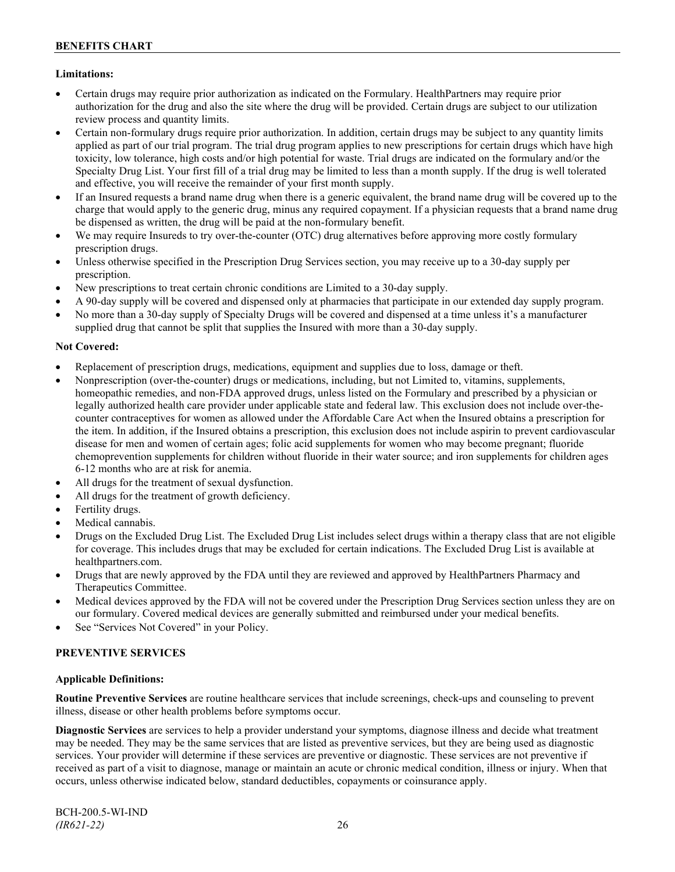## **Limitations:**

- Certain drugs may require prior authorization as indicated on the Formulary. HealthPartners may require prior authorization for the drug and also the site where the drug will be provided. Certain drugs are subject to our utilization review process and quantity limits.
- Certain non-formulary drugs require prior authorization. In addition, certain drugs may be subject to any quantity limits applied as part of our trial program. The trial drug program applies to new prescriptions for certain drugs which have high toxicity, low tolerance, high costs and/or high potential for waste. Trial drugs are indicated on the formulary and/or the Specialty Drug List. Your first fill of a trial drug may be limited to less than a month supply. If the drug is well tolerated and effective, you will receive the remainder of your first month supply.
- If an Insured requests a brand name drug when there is a generic equivalent, the brand name drug will be covered up to the charge that would apply to the generic drug, minus any required copayment. If a physician requests that a brand name drug be dispensed as written, the drug will be paid at the non-formulary benefit.
- We may require Insureds to try over-the-counter (OTC) drug alternatives before approving more costly formulary prescription drugs.
- Unless otherwise specified in the Prescription Drug Services section, you may receive up to a 30-day supply per prescription.
- New prescriptions to treat certain chronic conditions are Limited to a 30-day supply.
- A 90-day supply will be covered and dispensed only at pharmacies that participate in our extended day supply program.
- No more than a 30-day supply of Specialty Drugs will be covered and dispensed at a time unless it's a manufacturer supplied drug that cannot be split that supplies the Insured with more than a 30-day supply.

## **Not Covered:**

- Replacement of prescription drugs, medications, equipment and supplies due to loss, damage or theft.
- Nonprescription (over-the-counter) drugs or medications, including, but not Limited to, vitamins, supplements, homeopathic remedies, and non-FDA approved drugs, unless listed on the Formulary and prescribed by a physician or legally authorized health care provider under applicable state and federal law. This exclusion does not include over-thecounter contraceptives for women as allowed under the Affordable Care Act when the Insured obtains a prescription for the item. In addition, if the Insured obtains a prescription, this exclusion does not include aspirin to prevent cardiovascular disease for men and women of certain ages; folic acid supplements for women who may become pregnant; fluoride chemoprevention supplements for children without fluoride in their water source; and iron supplements for children ages 6-12 months who are at risk for anemia.
- All drugs for the treatment of sexual dysfunction.
- All drugs for the treatment of growth deficiency.
- Fertility drugs.
- Medical cannabis.
- Drugs on the Excluded Drug List. The Excluded Drug List includes select drugs within a therapy class that are not eligible for coverage. This includes drugs that may be excluded for certain indications. The Excluded Drug List is available at [healthpartners.com.](http://www.healthpartners.com/)
- Drugs that are newly approved by the FDA until they are reviewed and approved by HealthPartners Pharmacy and Therapeutics Committee.
- Medical devices approved by the FDA will not be covered under the Prescription Drug Services section unless they are on our formulary. Covered medical devices are generally submitted and reimbursed under your medical benefits.
- See "Services Not Covered" in your Policy.

## **PREVENTIVE SERVICES**

#### **Applicable Definitions:**

**Routine Preventive Services** are routine healthcare services that include screenings, check-ups and counseling to prevent illness, disease or other health problems before symptoms occur.

**Diagnostic Services** are services to help a provider understand your symptoms, diagnose illness and decide what treatment may be needed. They may be the same services that are listed as preventive services, but they are being used as diagnostic services. Your provider will determine if these services are preventive or diagnostic. These services are not preventive if received as part of a visit to diagnose, manage or maintain an acute or chronic medical condition, illness or injury. When that occurs, unless otherwise indicated below, standard deductibles, copayments or coinsurance apply.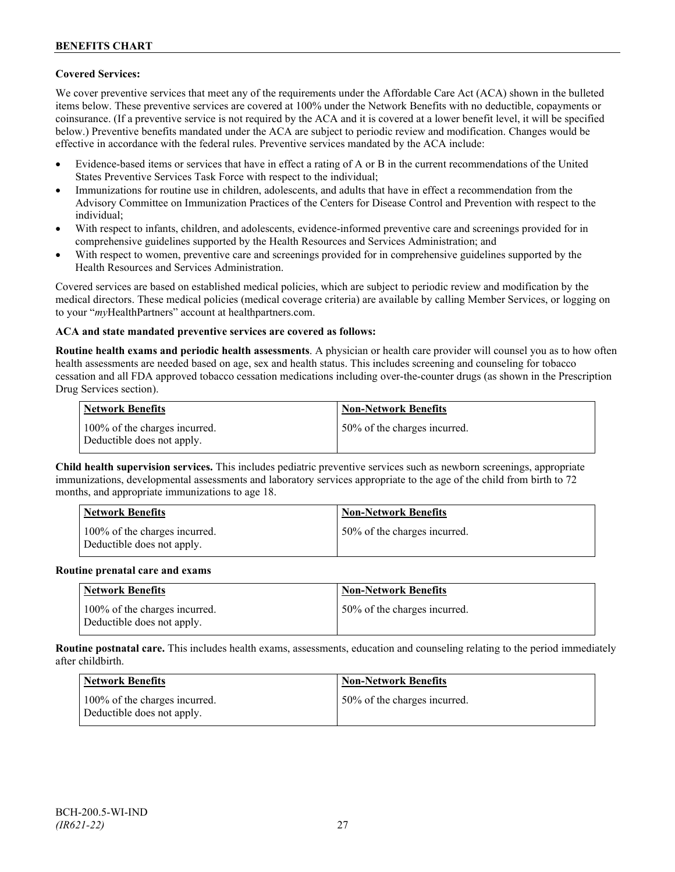## **Covered Services:**

We cover preventive services that meet any of the requirements under the Affordable Care Act (ACA) shown in the bulleted items below. These preventive services are covered at 100% under the Network Benefits with no deductible, copayments or coinsurance. (If a preventive service is not required by the ACA and it is covered at a lower benefit level, it will be specified below.) Preventive benefits mandated under the ACA are subject to periodic review and modification. Changes would be effective in accordance with the federal rules. Preventive services mandated by the ACA include:

- Evidence-based items or services that have in effect a rating of A or B in the current recommendations of the United States Preventive Services Task Force with respect to the individual;
- Immunizations for routine use in children, adolescents, and adults that have in effect a recommendation from the Advisory Committee on Immunization Practices of the Centers for Disease Control and Prevention with respect to the individual;
- With respect to infants, children, and adolescents, evidence-informed preventive care and screenings provided for in comprehensive guidelines supported by the Health Resources and Services Administration; and
- With respect to women, preventive care and screenings provided for in comprehensive guidelines supported by the Health Resources and Services Administration.

Covered services are based on established medical policies, which are subject to periodic review and modification by the medical directors. These medical policies (medical coverage criteria) are available by calling Member Services, or logging on to your "*my*HealthPartners" account at [healthpartners.com.](http://www.healthpartners.com/)

## **ACA and state mandated preventive services are covered as follows:**

**Routine health exams and periodic health assessments**. A physician or health care provider will counsel you as to how often health assessments are needed based on age, sex and health status. This includes screening and counseling for tobacco cessation and all FDA approved tobacco cessation medications including over-the-counter drugs (as shown in the Prescription Drug Services section).

| <b>Network Benefits</b>                                     | <b>Non-Network Benefits</b>  |
|-------------------------------------------------------------|------------------------------|
| 100% of the charges incurred.<br>Deductible does not apply. | 50% of the charges incurred. |

**Child health supervision services.** This includes pediatric preventive services such as newborn screenings, appropriate immunizations, developmental assessments and laboratory services appropriate to the age of the child from birth to 72 months, and appropriate immunizations to age 18.

| <b>Network Benefits</b>                                     | <b>Non-Network Benefits</b>  |
|-------------------------------------------------------------|------------------------------|
| 100% of the charges incurred.<br>Deductible does not apply. | 50% of the charges incurred. |

#### **Routine prenatal care and exams**

| Network Benefits                                            | <b>Non-Network Benefits</b>  |
|-------------------------------------------------------------|------------------------------|
| 100% of the charges incurred.<br>Deductible does not apply. | 50% of the charges incurred. |

**Routine postnatal care.** This includes health exams, assessments, education and counseling relating to the period immediately after childbirth.

| <b>Network Benefits</b>                                     | <b>Non-Network Benefits</b>  |
|-------------------------------------------------------------|------------------------------|
| 100% of the charges incurred.<br>Deductible does not apply. | 50% of the charges incurred. |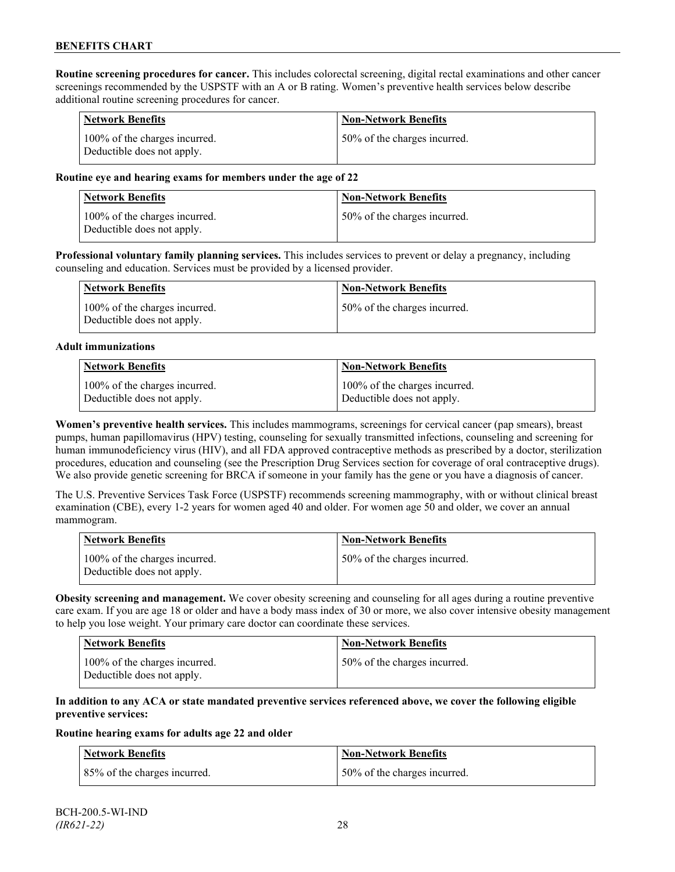**Routine screening procedures for cancer.** This includes colorectal screening, digital rectal examinations and other cancer screenings recommended by the USPSTF with an A or B rating. Women's preventive health services below describe additional routine screening procedures for cancer.

| <b>Network Benefits</b>                                     | <b>Non-Network Benefits</b>  |
|-------------------------------------------------------------|------------------------------|
| 100% of the charges incurred.<br>Deductible does not apply. | 50% of the charges incurred. |

### **Routine eye and hearing exams for members under the age of 22**

| Network Benefits                                            | <b>Non-Network Benefits</b>  |
|-------------------------------------------------------------|------------------------------|
| 100% of the charges incurred.<br>Deductible does not apply. | 50% of the charges incurred. |

**Professional voluntary family planning services.** This includes services to prevent or delay a pregnancy, including counseling and education. Services must be provided by a licensed provider.

| Network Benefits                                            | <b>Non-Network Benefits</b>   |
|-------------------------------------------------------------|-------------------------------|
| 100% of the charges incurred.<br>Deductible does not apply. | 150% of the charges incurred. |

#### **Adult immunizations**

| <b>Network Benefits</b>       | <b>Non-Network Benefits</b>   |
|-------------------------------|-------------------------------|
| 100% of the charges incurred. | 100% of the charges incurred. |
| Deductible does not apply.    | Deductible does not apply.    |

**Women's preventive health services.** This includes mammograms, screenings for cervical cancer (pap smears), breast pumps, human papillomavirus (HPV) testing, counseling for sexually transmitted infections, counseling and screening for human immunodeficiency virus (HIV), and all FDA approved contraceptive methods as prescribed by a doctor, sterilization procedures, education and counseling (see the Prescription Drug Services section for coverage of oral contraceptive drugs). We also provide genetic screening for BRCA if someone in your family has the gene or you have a diagnosis of cancer.

The U.S. Preventive Services Task Force (USPSTF) recommends screening mammography, with or without clinical breast examination (CBE), every 1-2 years for women aged 40 and older. For women age 50 and older, we cover an annual mammogram.

| Network Benefits                                            | <b>Non-Network Benefits</b>  |
|-------------------------------------------------------------|------------------------------|
| 100% of the charges incurred.<br>Deductible does not apply. | 50% of the charges incurred. |

**Obesity screening and management.** We cover obesity screening and counseling for all ages during a routine preventive care exam. If you are age 18 or older and have a body mass index of 30 or more, we also cover intensive obesity management to help you lose weight. Your primary care doctor can coordinate these services.

| <b>Network Benefits</b>                                     | Non-Network Benefits         |
|-------------------------------------------------------------|------------------------------|
| 100% of the charges incurred.<br>Deductible does not apply. | 50% of the charges incurred. |

### **In addition to any ACA or state mandated preventive services referenced above, we cover the following eligible preventive services:**

#### **Routine hearing exams for adults age 22 and older**

| Network Benefits             | <b>Non-Network Benefits</b>  |
|------------------------------|------------------------------|
| 85% of the charges incurred. | 50% of the charges incurred. |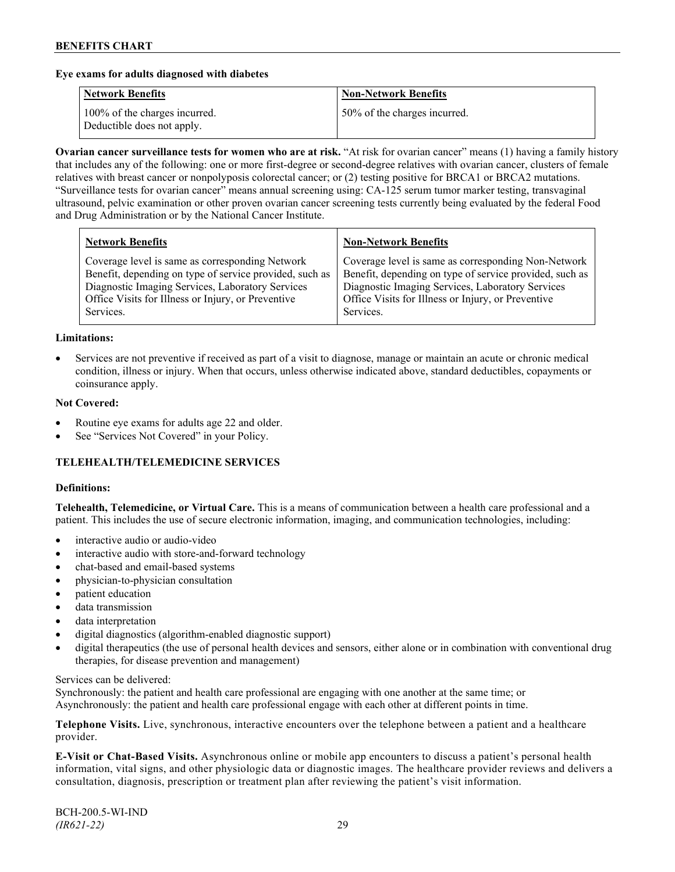### **Eye exams for adults diagnosed with diabetes**

| <b>Network Benefits</b>                                     | <b>Non-Network Benefits</b>  |
|-------------------------------------------------------------|------------------------------|
| 100% of the charges incurred.<br>Deductible does not apply. | 50% of the charges incurred. |

**Ovarian cancer surveillance tests for women who are at risk.** "At risk for ovarian cancer" means (1) having a family history that includes any of the following: one or more first-degree or second-degree relatives with ovarian cancer, clusters of female relatives with breast cancer or nonpolyposis colorectal cancer; or (2) testing positive for BRCA1 or BRCA2 mutations. "Surveillance tests for ovarian cancer" means annual screening using: CA-125 serum tumor marker testing, transvaginal ultrasound, pelvic examination or other proven ovarian cancer screening tests currently being evaluated by the federal Food and Drug Administration or by the National Cancer Institute.

| <b>Network Benefits</b>                                 | <b>Non-Network Benefits</b>                             |
|---------------------------------------------------------|---------------------------------------------------------|
| Coverage level is same as corresponding Network         | Coverage level is same as corresponding Non-Network     |
| Benefit, depending on type of service provided, such as | Benefit, depending on type of service provided, such as |
| Diagnostic Imaging Services, Laboratory Services        | Diagnostic Imaging Services, Laboratory Services        |
| Office Visits for Illness or Injury, or Preventive      | Office Visits for Illness or Injury, or Preventive      |
| Services.                                               | Services.                                               |

#### **Limitations:**

• Services are not preventive if received as part of a visit to diagnose, manage or maintain an acute or chronic medical condition, illness or injury. When that occurs, unless otherwise indicated above, standard deductibles, copayments or coinsurance apply.

### **Not Covered:**

- Routine eye exams for adults age 22 and older.
- See "Services Not Covered" in your Policy.

## **TELEHEALTH/TELEMEDICINE SERVICES**

#### **Definitions:**

**Telehealth, Telemedicine, or Virtual Care.** This is a means of communication between a health care professional and a patient. This includes the use of secure electronic information, imaging, and communication technologies, including:

- interactive audio or audio-video
- interactive audio with store-and-forward technology
- chat-based and email-based systems
- physician-to-physician consultation
- patient education
- data transmission
- data interpretation
- digital diagnostics (algorithm-enabled diagnostic support)
- digital therapeutics (the use of personal health devices and sensors, either alone or in combination with conventional drug therapies, for disease prevention and management)

#### Services can be delivered:

Synchronously: the patient and health care professional are engaging with one another at the same time; or Asynchronously: the patient and health care professional engage with each other at different points in time.

**Telephone Visits.** Live, synchronous, interactive encounters over the telephone between a patient and a healthcare provider.

**E-Visit or Chat-Based Visits.** Asynchronous online or mobile app encounters to discuss a patient's personal health information, vital signs, and other physiologic data or diagnostic images. The healthcare provider reviews and delivers a consultation, diagnosis, prescription or treatment plan after reviewing the patient's visit information.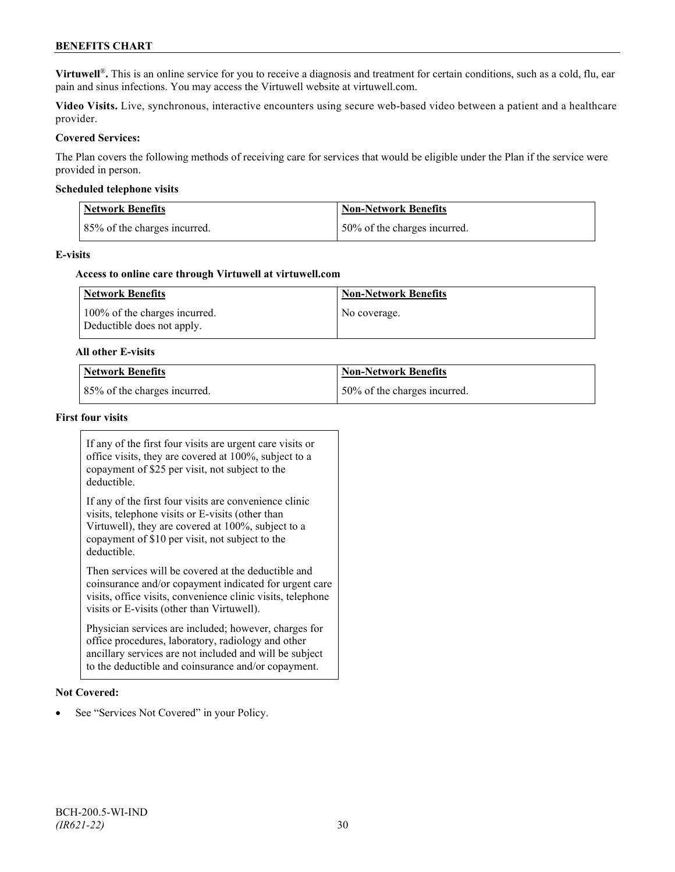## **BENEFITS CHART**

**Virtuwell<sup>®</sup>**. This is an online service for you to receive a diagnosis and treatment for certain conditions, such as a cold, flu, ear pain and sinus infections. You may access the Virtuwell website at [virtuwell.com.](https://www.virtuwell.com/)

**Video Visits.** Live, synchronous, interactive encounters using secure web-based video between a patient and a healthcare provider.

#### **Covered Services:**

The Plan covers the following methods of receiving care for services that would be eligible under the Plan if the service were provided in person.

#### **Scheduled telephone visits**

| <b>Network Benefits</b>      | <b>Non-Network Benefits</b>  |
|------------------------------|------------------------------|
| 85% of the charges incurred. | 50% of the charges incurred. |

#### **E-visits**

#### **Access to online care through Virtuwell at [virtuwell.com](http://www.virtuwell.com/)**

| Network Benefits                                            | <b>Non-Network Benefits</b> |
|-------------------------------------------------------------|-----------------------------|
| 100% of the charges incurred.<br>Deductible does not apply. | No coverage.                |

#### **All other E-visits**

| Network Benefits             | Non-Network Benefits         |
|------------------------------|------------------------------|
| 85% of the charges incurred. | 50% of the charges incurred. |

#### **First four visits**

If any of the first four visits are urgent care visits or office visits, they are covered at 100%, subject to a copayment of \$25 per visit, not subject to the deductible.

If any of the first four visits are convenience clinic visits, telephone visits or E-visits (other than Virtuwell), they are covered at 100%, subject to a copayment of \$10 per visit, not subject to the deductible.

Then services will be covered at the deductible and coinsurance and/or copayment indicated for urgent care visits, office visits, convenience clinic visits, telephone visits or E-visits (other than Virtuwell).

Physician services are included; however, charges for office procedures, laboratory, radiology and other ancillary services are not included and will be subject to the deductible and coinsurance and/or copayment.

#### **Not Covered:**

See "Services Not Covered" in your Policy.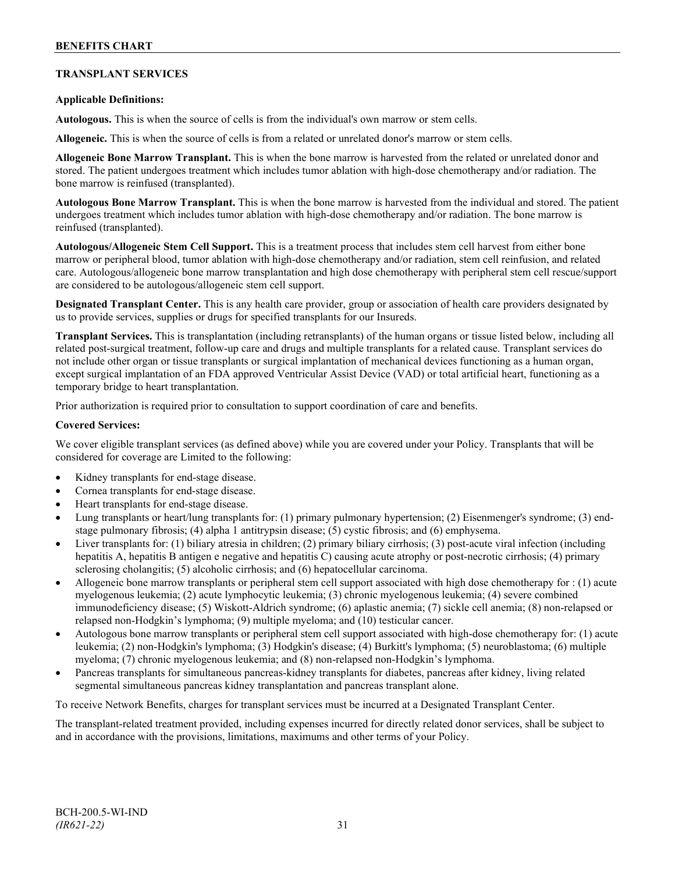## **TRANSPLANT SERVICES**

## **Applicable Definitions:**

**Autologous.** This is when the source of cells is from the individual's own marrow or stem cells.

**Allogeneic.** This is when the source of cells is from a related or unrelated donor's marrow or stem cells.

**Allogeneic Bone Marrow Transplant.** This is when the bone marrow is harvested from the related or unrelated donor and stored. The patient undergoes treatment which includes tumor ablation with high-dose chemotherapy and/or radiation. The bone marrow is reinfused (transplanted).

**Autologous Bone Marrow Transplant.** This is when the bone marrow is harvested from the individual and stored. The patient undergoes treatment which includes tumor ablation with high-dose chemotherapy and/or radiation. The bone marrow is reinfused (transplanted).

**Autologous/Allogeneic Stem Cell Support.** This is a treatment process that includes stem cell harvest from either bone marrow or peripheral blood, tumor ablation with high-dose chemotherapy and/or radiation, stem cell reinfusion, and related care. Autologous/allogeneic bone marrow transplantation and high dose chemotherapy with peripheral stem cell rescue/support are considered to be autologous/allogeneic stem cell support.

**Designated Transplant Center.** This is any health care provider, group or association of health care providers designated by us to provide services, supplies or drugs for specified transplants for our Insureds.

**Transplant Services.** This is transplantation (including retransplants) of the human organs or tissue listed below, including all related post-surgical treatment, follow-up care and drugs and multiple transplants for a related cause. Transplant services do not include other organ or tissue transplants or surgical implantation of mechanical devices functioning as a human organ, except surgical implantation of an FDA approved Ventricular Assist Device (VAD) or total artificial heart, functioning as a temporary bridge to heart transplantation.

Prior authorization is required prior to consultation to support coordination of care and benefits.

#### **Covered Services:**

We cover eligible transplant services (as defined above) while you are covered under your Policy. Transplants that will be considered for coverage are Limited to the following:

- Kidney transplants for end-stage disease.
- Cornea transplants for end-stage disease.
- Heart transplants for end-stage disease.
- Lung transplants or heart/lung transplants for: (1) primary pulmonary hypertension; (2) Eisenmenger's syndrome; (3) endstage pulmonary fibrosis; (4) alpha 1 antitrypsin disease; (5) cystic fibrosis; and (6) emphysema.
- Liver transplants for: (1) biliary atresia in children; (2) primary biliary cirrhosis; (3) post-acute viral infection (including hepatitis A, hepatitis B antigen e negative and hepatitis C) causing acute atrophy or post-necrotic cirrhosis; (4) primary sclerosing cholangitis; (5) alcoholic cirrhosis; and (6) hepatocellular carcinoma.
- Allogeneic bone marrow transplants or peripheral stem cell support associated with high dose chemotherapy for : (1) acute myelogenous leukemia; (2) acute lymphocytic leukemia; (3) chronic myelogenous leukemia; (4) severe combined immunodeficiency disease; (5) Wiskott-Aldrich syndrome; (6) aplastic anemia; (7) sickle cell anemia; (8) non-relapsed or relapsed non-Hodgkin's lymphoma; (9) multiple myeloma; and (10) testicular cancer.
- Autologous bone marrow transplants or peripheral stem cell support associated with high-dose chemotherapy for: (1) acute leukemia; (2) non-Hodgkin's lymphoma; (3) Hodgkin's disease; (4) Burkitt's lymphoma; (5) neuroblastoma; (6) multiple myeloma; (7) chronic myelogenous leukemia; and (8) non-relapsed non-Hodgkin's lymphoma.
- Pancreas transplants for simultaneous pancreas-kidney transplants for diabetes, pancreas after kidney, living related segmental simultaneous pancreas kidney transplantation and pancreas transplant alone.

To receive Network Benefits, charges for transplant services must be incurred at a Designated Transplant Center.

The transplant-related treatment provided, including expenses incurred for directly related donor services, shall be subject to and in accordance with the provisions, limitations, maximums and other terms of your Policy.